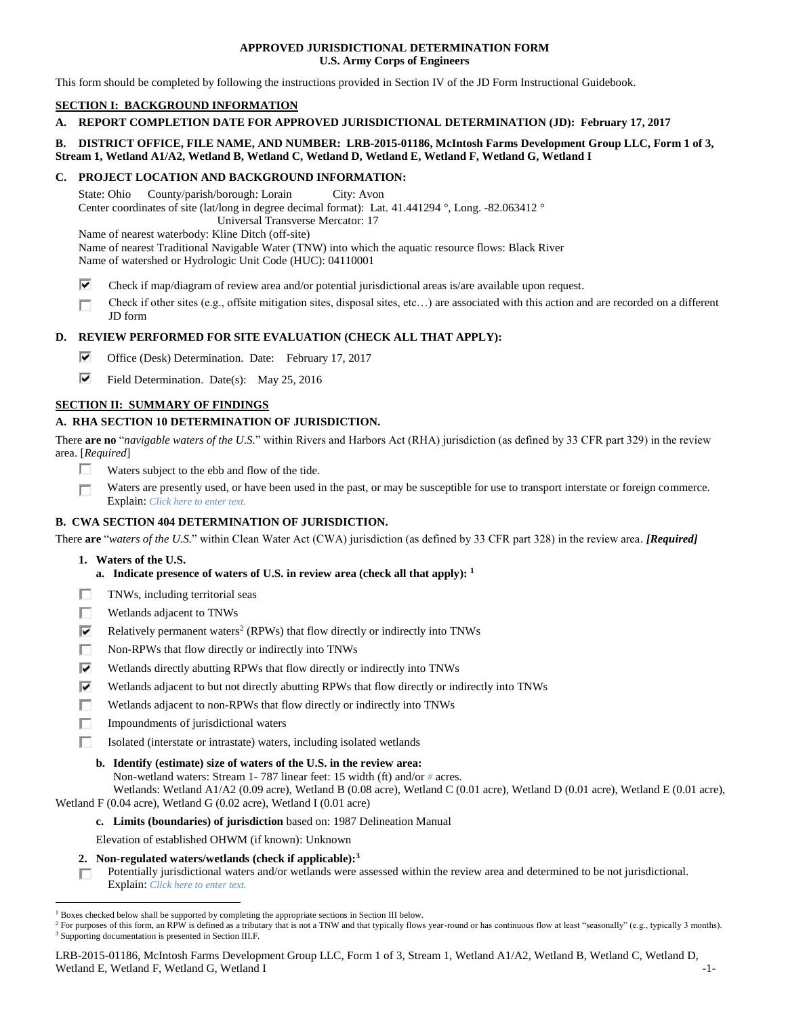### **APPROVED JURISDICTIONAL DETERMINATION FORM U.S. Army Corps of Engineers**

This form should be completed by following the instructions provided in Section IV of the JD Form Instructional Guidebook.

# **SECTION I: BACKGROUND INFORMATION**

**A. REPORT COMPLETION DATE FOR APPROVED JURISDICTIONAL DETERMINATION (JD): February 17, 2017**

# **B. DISTRICT OFFICE, FILE NAME, AND NUMBER: LRB-2015-01186, McIntosh Farms Development Group LLC, Form 1 of 3, Stream 1, Wetland A1/A2, Wetland B, Wetland C, Wetland D, Wetland E, Wetland F, Wetland G, Wetland I**

### **C. PROJECT LOCATION AND BACKGROUND INFORMATION:**

State: Ohio County/parish/borough: Lorain City: Avon Center coordinates of site (lat/long in degree decimal format): Lat. 41.441294 °, Long. -82.063412 ° Universal Transverse Mercator: 17 Name of nearest waterbody: Kline Ditch (off-site) Name of nearest Traditional Navigable Water (TNW) into which the aquatic resource flows: Black River Name of watershed or Hydrologic Unit Code (HUC): 04110001

- ⊽ Check if map/diagram of review area and/or potential jurisdictional areas is/are available upon request.
- Check if other sites (e.g., offsite mitigation sites, disposal sites, etc…) are associated with this action and are recorded on a different П JD form

# **D. REVIEW PERFORMED FOR SITE EVALUATION (CHECK ALL THAT APPLY):**

- ⊽ Office (Desk) Determination. Date: February 17, 2017
- ⊽⊹ Field Determination. Date(s): May 25, 2016

# **SECTION II: SUMMARY OF FINDINGS**

# **A. RHA SECTION 10 DETERMINATION OF JURISDICTION.**

There **are no** "*navigable waters of the U.S.*" within Rivers and Harbors Act (RHA) jurisdiction (as defined by 33 CFR part 329) in the review area. [*Required*]

- п Waters subject to the ebb and flow of the tide.
- Waters are presently used, or have been used in the past, or may be susceptible for use to transport interstate or foreign commerce. П Explain: *Click here to enter text.*

# **B. CWA SECTION 404 DETERMINATION OF JURISDICTION.**

There **are** "*waters of the U.S.*" within Clean Water Act (CWA) jurisdiction (as defined by 33 CFR part 328) in the review area. *[Required]*

**1. Waters of the U.S.**

 $\overline{a}$ 

- **a. Indicate presence of waters of U.S. in review area (check all that apply): 1**
- п TNWs, including territorial seas
- П Wetlands adjacent to TNWs
- ⊽ Relatively permanent waters<sup>2</sup> (RPWs) that flow directly or indirectly into TNWs
- г Non-RPWs that flow directly or indirectly into TNWs
- ⊽ Wetlands directly abutting RPWs that flow directly or indirectly into TNWs
- ⊽ Wetlands adjacent to but not directly abutting RPWs that flow directly or indirectly into TNWs
- п Wetlands adjacent to non-RPWs that flow directly or indirectly into TNWs
- п. Impoundments of jurisdictional waters
- Isolated (interstate or intrastate) waters, including isolated wetlands П.
	- **b. Identify (estimate) size of waters of the U.S. in the review area:**
		- Non-wetland waters: Stream 1- 787 linear feet: 15 width (ft) and/or *#* acres.

Wetlands: Wetland A1/A2 (0.09 acre), Wetland B (0.08 acre), Wetland C (0.01 acre), Wetland D (0.01 acre), Wetland E (0.01 acre), Wetland F (0.04 acre), Wetland G (0.02 acre), Wetland I (0.01 acre)

#### **c. Limits (boundaries) of jurisdiction** based on: 1987 Delineation Manual

Elevation of established OHWM (if known): Unknown

- **2. Non-regulated waters/wetlands (check if applicable): 3**
- Potentially jurisdictional waters and/or wetlands were assessed within the review area and determined to be not jurisdictional. П. Explain: *Click here to enter text.*

LRB-2015-01186, McIntosh Farms Development Group LLC, Form 1 of 3, Stream 1, Wetland A1/A2, Wetland B, Wetland C, Wetland D, Wetland E, Wetland F, Wetland G, Wetland I -1-

 $<sup>1</sup>$  Boxes checked below shall be supported by completing the appropriate sections in Section III below.</sup>

<sup>&</sup>lt;sup>2</sup> For purposes of this form, an RPW is defined as a tributary that is not a TNW and that typically flows year-round or has continuous flow at least "seasonally" (e.g., typically 3 months). <sup>3</sup> Supporting documentation is presented in Section III.F.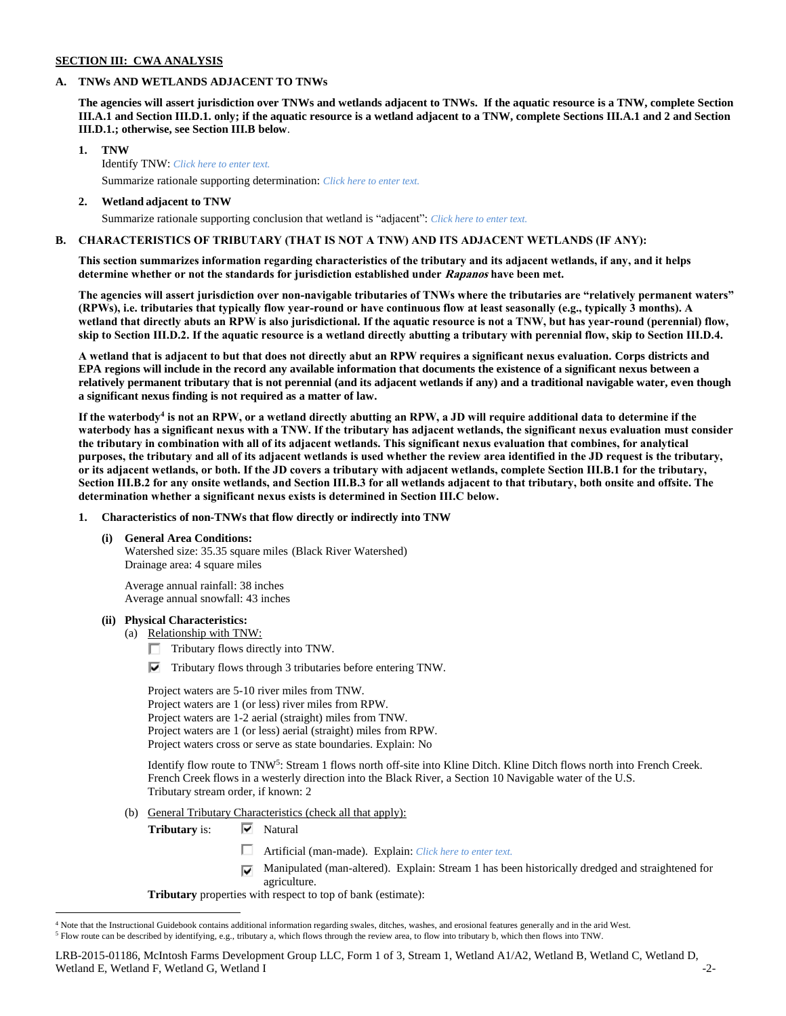### **SECTION III: CWA ANALYSIS**

### **A. TNWs AND WETLANDS ADJACENT TO TNWs**

**The agencies will assert jurisdiction over TNWs and wetlands adjacent to TNWs. If the aquatic resource is a TNW, complete Section III.A.1 and Section III.D.1. only; if the aquatic resource is a wetland adjacent to a TNW, complete Sections III.A.1 and 2 and Section III.D.1.; otherwise, see Section III.B below**.

# **1. TNW**  Identify TNW: *Click here to enter text.*

Summarize rationale supporting determination: *Click here to enter text.*

### **2. Wetland adjacent to TNW**

Summarize rationale supporting conclusion that wetland is "adjacent": *Click here to enter text.*

# **B. CHARACTERISTICS OF TRIBUTARY (THAT IS NOT A TNW) AND ITS ADJACENT WETLANDS (IF ANY):**

**This section summarizes information regarding characteristics of the tributary and its adjacent wetlands, if any, and it helps determine whether or not the standards for jurisdiction established under Rapanos have been met.** 

**The agencies will assert jurisdiction over non-navigable tributaries of TNWs where the tributaries are "relatively permanent waters" (RPWs), i.e. tributaries that typically flow year-round or have continuous flow at least seasonally (e.g., typically 3 months). A wetland that directly abuts an RPW is also jurisdictional. If the aquatic resource is not a TNW, but has year-round (perennial) flow, skip to Section III.D.2. If the aquatic resource is a wetland directly abutting a tributary with perennial flow, skip to Section III.D.4.**

**A wetland that is adjacent to but that does not directly abut an RPW requires a significant nexus evaluation. Corps districts and EPA regions will include in the record any available information that documents the existence of a significant nexus between a relatively permanent tributary that is not perennial (and its adjacent wetlands if any) and a traditional navigable water, even though a significant nexus finding is not required as a matter of law.**

**If the waterbody<sup>4</sup> is not an RPW, or a wetland directly abutting an RPW, a JD will require additional data to determine if the waterbody has a significant nexus with a TNW. If the tributary has adjacent wetlands, the significant nexus evaluation must consider the tributary in combination with all of its adjacent wetlands. This significant nexus evaluation that combines, for analytical purposes, the tributary and all of its adjacent wetlands is used whether the review area identified in the JD request is the tributary, or its adjacent wetlands, or both. If the JD covers a tributary with adjacent wetlands, complete Section III.B.1 for the tributary, Section III.B.2 for any onsite wetlands, and Section III.B.3 for all wetlands adjacent to that tributary, both onsite and offsite. The determination whether a significant nexus exists is determined in Section III.C below.**

#### **1. Characteristics of non-TNWs that flow directly or indirectly into TNW**

**(i) General Area Conditions:**

Watershed size: 35.35 square miles (Black River Watershed) Drainage area: 4 square miles

Average annual rainfall: 38 inches Average annual snowfall: 43 inches

### **(ii) Physical Characteristics:**

 $\overline{a}$ 

- (a) Relationship with TNW:
	- $\Box$  Tributary flows directly into TNW.
	- $\nabla$  Tributary flows through 3 tributaries before entering TNW.

Project waters are 5-10 river miles from TNW. Project waters are 1 (or less) river miles from RPW. Project waters are 1-2 aerial (straight) miles from TNW. Project waters are 1 (or less) aerial (straight) miles from RPW. Project waters cross or serve as state boundaries. Explain: No

Identify flow route to TNW<sup>5</sup>: Stream 1 flows north off-site into Kline Ditch. Kline Ditch flows north into French Creek. French Creek flows in a westerly direction into the Black River, a Section 10 Navigable water of the U.S. Tributary stream order, if known: 2

(b) General Tributary Characteristics (check all that apply):

**Tributary** is: **▼** Natural

- Artificial (man-made). Explain: *Click here to enter text.*
- Manipulated (man-altered). Explain: Stream 1 has been historically dredged and straightened for ⊽ agriculture.

**Tributary** properties with respect to top of bank (estimate):

<sup>4</sup> Note that the Instructional Guidebook contains additional information regarding swales, ditches, washes, and erosional features generally and in the arid West. <sup>5</sup> Flow route can be described by identifying, e.g., tributary a, which flows through the review area, to flow into tributary b, which then flows into TNW.

LRB-2015-01186, McIntosh Farms Development Group LLC, Form 1 of 3, Stream 1, Wetland A1/A2, Wetland B, Wetland C, Wetland D, Wetland E, Wetland F, Wetland G, Wetland I  $-2$ -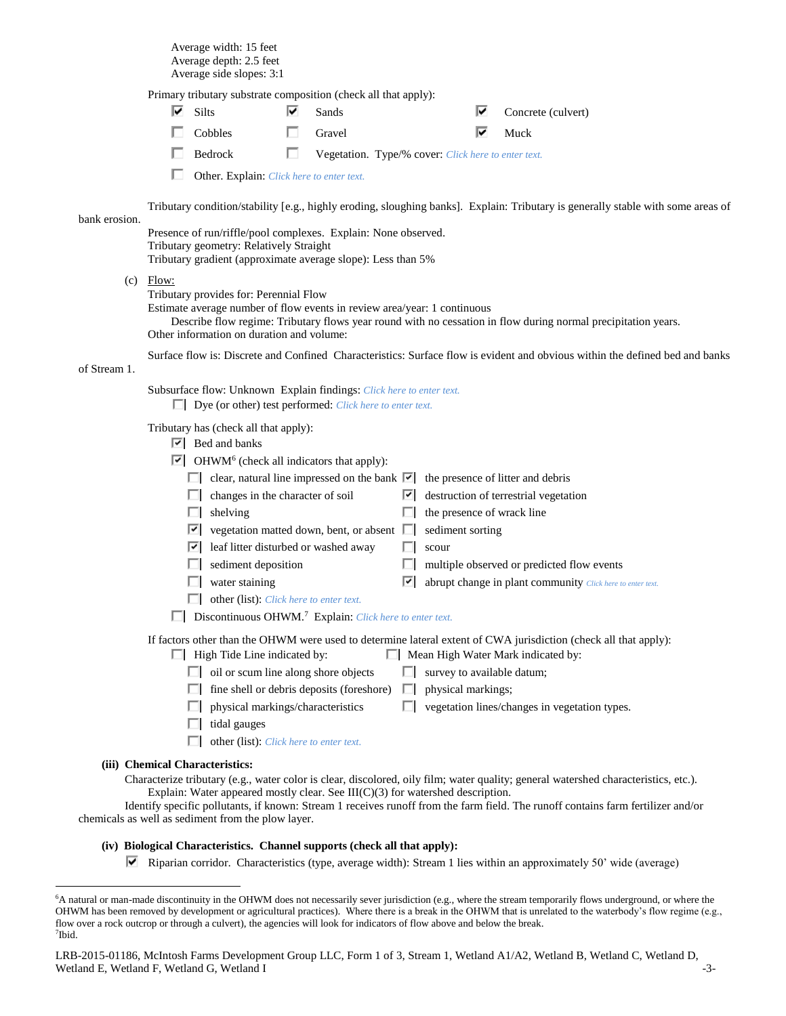Average width: 15 feet Average depth: 2.5 feet Average side slopes: 3:1

|               |       | Primary tributary substrate composition (check all that apply):                                                                                                           |                                                |   |                                                     |                                                                                                                                                               |  |  |  |  |
|---------------|-------|---------------------------------------------------------------------------------------------------------------------------------------------------------------------------|------------------------------------------------|---|-----------------------------------------------------|---------------------------------------------------------------------------------------------------------------------------------------------------------------|--|--|--|--|
|               | է     | Silts                                                                                                                                                                     | Sands                                          |   | ⊽                                                   | Concrete (culvert)                                                                                                                                            |  |  |  |  |
|               |       | Cobbles                                                                                                                                                                   | Gravel                                         |   | ⊽                                                   | Muck                                                                                                                                                          |  |  |  |  |
|               |       | Bedrock                                                                                                                                                                   | П                                              |   | Vegetation. Type/% cover: Click here to enter text. |                                                                                                                                                               |  |  |  |  |
|               |       | Other. Explain: Click here to enter text.                                                                                                                                 |                                                |   |                                                     |                                                                                                                                                               |  |  |  |  |
| bank erosion. |       |                                                                                                                                                                           |                                                |   |                                                     | Tributary condition/stability [e.g., highly eroding, sloughing banks]. Explain: Tributary is generally stable with some areas of                              |  |  |  |  |
|               |       | Presence of run/riffle/pool complexes. Explain: None observed.<br>Tributary geometry: Relatively Straight<br>Tributary gradient (approximate average slope): Less than 5% |                                                |   |                                                     |                                                                                                                                                               |  |  |  |  |
| (c)           | Flow: |                                                                                                                                                                           |                                                |   |                                                     |                                                                                                                                                               |  |  |  |  |
|               |       | Tributary provides for: Perennial Flow<br>Estimate average number of flow events in review area/year: 1 continuous<br>Other information on duration and volume:           |                                                |   |                                                     | Describe flow regime: Tributary flows year round with no cessation in flow during normal precipitation years.                                                 |  |  |  |  |
| of Stream 1.  |       |                                                                                                                                                                           |                                                |   |                                                     | Surface flow is: Discrete and Confined Characteristics: Surface flow is evident and obvious within the defined bed and banks                                  |  |  |  |  |
|               |       | Subsurface flow: Unknown Explain findings: Click here to enter text.<br>$\Box$ Dye (or other) test performed: <i>Click here to enter text.</i>                            |                                                |   |                                                     |                                                                                                                                                               |  |  |  |  |
|               |       | Tributary has (check all that apply):<br>$ \nabla $ Bed and banks<br>$\triangleright$ OHWM <sup>6</sup> (check all indicators that apply):                                |                                                |   |                                                     |                                                                                                                                                               |  |  |  |  |
|               |       | clear, natural line impressed on the bank $ \cdot $ the presence of litter and debris                                                                                     |                                                |   |                                                     |                                                                                                                                                               |  |  |  |  |
|               |       | $\Box$ changes in the character of soil                                                                                                                                   |                                                |   |                                                     | $\vert \overline{\mathbf{v}} \vert$ destruction of terrestrial vegetation                                                                                     |  |  |  |  |
|               |       | shelving<br>ш                                                                                                                                                             |                                                |   | the presence of wrack line                          |                                                                                                                                                               |  |  |  |  |
|               |       | M                                                                                                                                                                         | vegetation matted down, bent, or absent $\Box$ |   | sediment sorting                                    |                                                                                                                                                               |  |  |  |  |
|               |       | M                                                                                                                                                                         | leaf litter disturbed or washed away           |   | scour                                               |                                                                                                                                                               |  |  |  |  |
|               |       | sediment deposition<br>ш                                                                                                                                                  |                                                |   |                                                     | multiple observed or predicted flow events                                                                                                                    |  |  |  |  |
|               |       | water staining                                                                                                                                                            |                                                | ⊵ |                                                     | abrupt change in plant community Click here to enter text.                                                                                                    |  |  |  |  |
|               |       |                                                                                                                                                                           | other (list): Click here to enter text.        |   |                                                     |                                                                                                                                                               |  |  |  |  |
|               |       | Discontinuous OHWM. <sup>7</sup> Explain: Click here to enter text.                                                                                                       |                                                |   |                                                     |                                                                                                                                                               |  |  |  |  |
|               |       | High Tide Line indicated by:                                                                                                                                              |                                                |   |                                                     | If factors other than the OHWM were used to determine lateral extent of CWA jurisdiction (check all that apply):<br>$\Box$ Mean High Water Mark indicated by: |  |  |  |  |
|               |       |                                                                                                                                                                           | oil or scum line along shore objects           | ш | survey to available datum;                          |                                                                                                                                                               |  |  |  |  |
|               |       |                                                                                                                                                                           | fine shell or debris deposits (foreshore)      |   | physical markings;                                  |                                                                                                                                                               |  |  |  |  |
|               |       |                                                                                                                                                                           | physical markings/characteristics              |   |                                                     | vegetation lines/changes in vegetation types.                                                                                                                 |  |  |  |  |
|               |       | tidal gauges<br>ш                                                                                                                                                         |                                                |   |                                                     |                                                                                                                                                               |  |  |  |  |
|               |       | п                                                                                                                                                                         | other (list): Click here to enter text.        |   |                                                     |                                                                                                                                                               |  |  |  |  |
|               |       | (iii) Chemical Characteristics:                                                                                                                                           |                                                |   |                                                     |                                                                                                                                                               |  |  |  |  |

Characterize tributary (e.g., water color is clear, discolored, oily film; water quality; general watershed characteristics, etc.). Explain: Water appeared mostly clear. See  $III(C)(3)$  for watershed description.

Identify specific pollutants, if known: Stream 1 receives runoff from the farm field. The runoff contains farm fertilizer and/or chemicals as well as sediment from the plow layer.

# **(iv) Biological Characteristics. Channel supports (check all that apply):**

 $\overline{a}$ 

Riparian corridor. Characteristics (type, average width): Stream 1 lies within an approximately 50' wide (average)

<sup>6</sup>A natural or man-made discontinuity in the OHWM does not necessarily sever jurisdiction (e.g., where the stream temporarily flows underground, or where the OHWM has been removed by development or agricultural practices). Where there is a break in the OHWM that is unrelated to the waterbody's flow regime (e.g., flow over a rock outcrop or through a culvert), the agencies will look for indicators of flow above and below the break. 7 Ibid.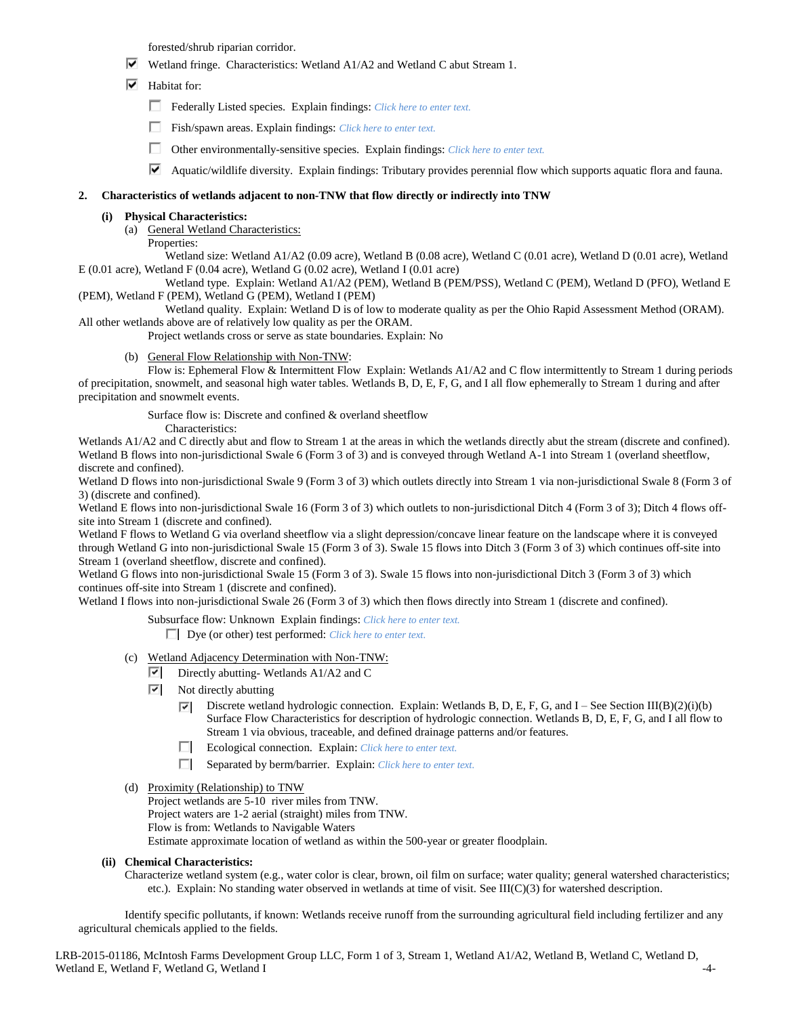forested/shrub riparian corridor.

- Wetland fringe. Characteristics: Wetland A1/A2 and Wetland C abut Stream 1.
- $\overline{\triangledown}$  Habitat for:
	- Federally Listed species. Explain findings: *Click here to enter text.*
	- Fish/spawn areas. Explain findings: *Click here to enter text.*
	- П. Other environmentally-sensitive species. Explain findings: *Click here to enter text.*
	- Aquatic/wildlife diversity. Explain findings: Tributary provides perennial flow which supports aquatic flora and fauna.

### **2. Characteristics of wetlands adjacent to non-TNW that flow directly or indirectly into TNW**

### **(i) Physical Characteristics:**

- (a) General Wetland Characteristics:
	- Properties:

Wetland size: Wetland A1/A2 (0.09 acre), Wetland B (0.08 acre), Wetland C (0.01 acre), Wetland D (0.01 acre), Wetland E (0.01 acre), Wetland F (0.04 acre), Wetland G (0.02 acre), Wetland I (0.01 acre)

Wetland type. Explain: Wetland A1/A2 (PEM), Wetland B (PEM/PSS), Wetland C (PEM), Wetland D (PFO), Wetland E (PEM), Wetland F (PEM), Wetland G (PEM), Wetland I (PEM)

Wetland quality. Explain: Wetland D is of low to moderate quality as per the Ohio Rapid Assessment Method (ORAM). All other wetlands above are of relatively low quality as per the ORAM.

Project wetlands cross or serve as state boundaries. Explain: No

(b) General Flow Relationship with Non-TNW:

Flow is: Ephemeral Flow & Intermittent Flow Explain: Wetlands A1/A2 and C flow intermittently to Stream 1 during periods of precipitation, snowmelt, and seasonal high water tables. Wetlands B, D, E, F, G, and I all flow ephemerally to Stream 1 during and after precipitation and snowmelt events.

Surface flow is: Discrete and confined & overland sheetflow

Characteristics:

Wetlands A1/A2 and C directly abut and flow to Stream 1 at the areas in which the wetlands directly abut the stream (discrete and confined). Wetland B flows into non-jurisdictional Swale 6 (Form 3 of 3) and is conveyed through Wetland A-1 into Stream 1 (overland sheetflow, discrete and confined).

Wetland D flows into non-jurisdictional Swale 9 (Form 3 of 3) which outlets directly into Stream 1 via non-jurisdictional Swale 8 (Form 3 of 3) (discrete and confined).

Wetland E flows into non-jurisdictional Swale 16 (Form 3 of 3) which outlets to non-jurisdictional Ditch 4 (Form 3 of 3); Ditch 4 flows offsite into Stream 1 (discrete and confined).

Wetland F flows to Wetland G via overland sheetflow via a slight depression/concave linear feature on the landscape where it is conveyed through Wetland G into non-jurisdictional Swale 15 (Form 3 of 3). Swale 15 flows into Ditch 3 (Form 3 of 3) which continues off-site into Stream 1 (overland sheetflow, discrete and confined).

Wetland G flows into non-jurisdictional Swale 15 (Form 3 of 3). Swale 15 flows into non-jurisdictional Ditch 3 (Form 3 of 3) which continues off-site into Stream 1 (discrete and confined).

Wetland I flows into non-jurisdictional Swale 26 (Form 3 of 3) which then flows directly into Stream 1 (discrete and confined).

Subsurface flow: Unknown Explain findings: *Click here to enter text.*

Dye (or other) test performed: *Click here to enter text.*

- (c) Wetland Adjacency Determination with Non-TNW:
	- $\overline{|\mathbf{v}|}$  Directly abutting-Wetlands A1/A2 and C
	- $\overline{\mathbf{y}}$ Not directly abutting
		- Discrete wetland hydrologic connection. Explain: Wetlands B, D, E, F, G, and I See Section III(B)(2)(i)(b)  $\overline{\mathbf{v}}$ Surface Flow Characteristics for description of hydrologic connection. Wetlands B, D, E, F, G, and I all flow to Stream 1 via obvious, traceable, and defined drainage patterns and/or features.
		- $\Box$ Ecological connection. Explain: *Click here to enter text.*
		- Separated by berm/barrier. Explain: *Click here to enter text.*
- (d) Proximity (Relationship) to TNW Project wetlands are 5-10 river miles from TNW. Project waters are 1-2 aerial (straight) miles from TNW. Flow is from: Wetlands to Navigable Waters Estimate approximate location of wetland as within the 500-year or greater floodplain.

#### **(ii) Chemical Characteristics:**

Characterize wetland system (e.g., water color is clear, brown, oil film on surface; water quality; general watershed characteristics; etc.). Explain: No standing water observed in wetlands at time of visit. See III(C)(3) for watershed description.

Identify specific pollutants, if known: Wetlands receive runoff from the surrounding agricultural field including fertilizer and any agricultural chemicals applied to the fields.

LRB-2015-01186, McIntosh Farms Development Group LLC, Form 1 of 3, Stream 1, Wetland A1/A2, Wetland B, Wetland C, Wetland D, Wetland E, Wetland F, Wetland G, Wetland I -4-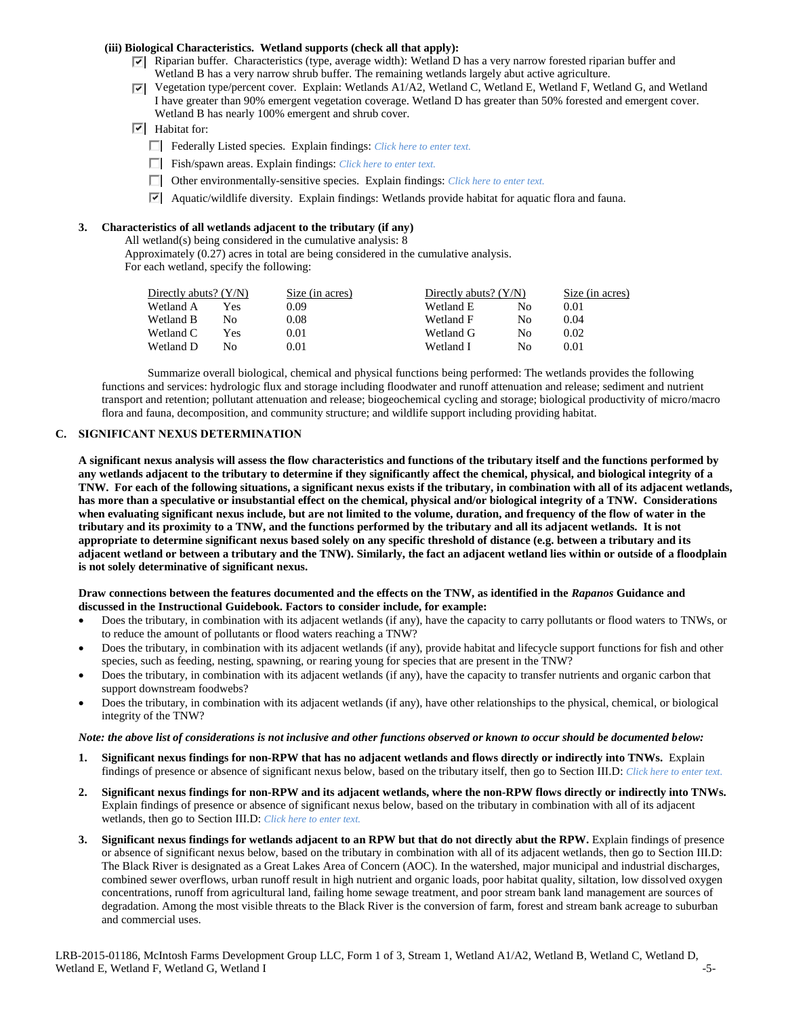# **(iii) Biological Characteristics. Wetland supports (check all that apply):**

- $\nabla$  Riparian buffer. Characteristics (type, average width): Wetland D has a very narrow forested riparian buffer and Wetland B has a very narrow shrub buffer. The remaining wetlands largely abut active agriculture.
- $\nabla$  Vegetation type/percent cover. Explain: Wetlands A1/A2, Wetland C, Wetland E, Wetland F, Wetland G, and Wetland I have greater than 90% emergent vegetation coverage. Wetland D has greater than 50% forested and emergent cover. Wetland B has nearly 100% emergent and shrub cover.
- $\boxed{\triangledown}$  Habitat for:
	- Federally Listed species. Explain findings: *Click here to enter text.*
	- Fish/spawn areas. Explain findings: *Click here to enter text.*
	- Other environmentally-sensitive species. Explain findings: *Click here to enter text.*
	- Aquatic/wildlife diversity. Explain findings: Wetlands provide habitat for aquatic flora and fauna.

### **3. Characteristics of all wetlands adjacent to the tributary (if any)**

All wetland(s) being considered in the cumulative analysis: 8

Approximately (0.27) acres in total are being considered in the cumulative analysis. For each wetland, specify the following:

| Directly abuts? $(Y/N)$ | Size (in acres) |           |    | Size (in acres)         |
|-------------------------|-----------------|-----------|----|-------------------------|
| Yes                     | 0.09            | Wetland E | Nο | 0.01                    |
| No                      | 0.08            | Wetland F | Nο | 0.04                    |
| Yes                     | 0.01            | Wetland G | Nο | 0.02                    |
| Nο                      | 0.01            | Wetland I | Nο | 0.01                    |
|                         |                 |           |    | Directly abuts? $(Y/N)$ |

Summarize overall biological, chemical and physical functions being performed: The wetlands provides the following functions and services: hydrologic flux and storage including floodwater and runoff attenuation and release; sediment and nutrient transport and retention; pollutant attenuation and release; biogeochemical cycling and storage; biological productivity of micro/macro flora and fauna, decomposition, and community structure; and wildlife support including providing habitat.

### **C. SIGNIFICANT NEXUS DETERMINATION**

**A significant nexus analysis will assess the flow characteristics and functions of the tributary itself and the functions performed by any wetlands adjacent to the tributary to determine if they significantly affect the chemical, physical, and biological integrity of a TNW. For each of the following situations, a significant nexus exists if the tributary, in combination with all of its adjacent wetlands, has more than a speculative or insubstantial effect on the chemical, physical and/or biological integrity of a TNW. Considerations when evaluating significant nexus include, but are not limited to the volume, duration, and frequency of the flow of water in the tributary and its proximity to a TNW, and the functions performed by the tributary and all its adjacent wetlands. It is not appropriate to determine significant nexus based solely on any specific threshold of distance (e.g. between a tributary and its adjacent wetland or between a tributary and the TNW). Similarly, the fact an adjacent wetland lies within or outside of a floodplain is not solely determinative of significant nexus.** 

#### **Draw connections between the features documented and the effects on the TNW, as identified in the** *Rapanos* **Guidance and discussed in the Instructional Guidebook. Factors to consider include, for example:**

- Does the tributary, in combination with its adjacent wetlands (if any), have the capacity to carry pollutants or flood waters to TNWs, or to reduce the amount of pollutants or flood waters reaching a TNW?
- Does the tributary, in combination with its adjacent wetlands (if any), provide habitat and lifecycle support functions for fish and other species, such as feeding, nesting, spawning, or rearing young for species that are present in the TNW?
- Does the tributary, in combination with its adjacent wetlands (if any), have the capacity to transfer nutrients and organic carbon that support downstream foodwebs?
- Does the tributary, in combination with its adjacent wetlands (if any), have other relationships to the physical, chemical, or biological integrity of the TNW?

#### *Note: the above list of considerations is not inclusive and other functions observed or known to occur should be documented below:*

- **1. Significant nexus findings for non-RPW that has no adjacent wetlands and flows directly or indirectly into TNWs.** Explain findings of presence or absence of significant nexus below, based on the tributary itself, then go to Section III.D: *Click here to enter text.*
- **2. Significant nexus findings for non-RPW and its adjacent wetlands, where the non-RPW flows directly or indirectly into TNWs.**  Explain findings of presence or absence of significant nexus below, based on the tributary in combination with all of its adjacent wetlands, then go to Section III.D: *Click here to enter text.*
- **3. Significant nexus findings for wetlands adjacent to an RPW but that do not directly abut the RPW.** Explain findings of presence or absence of significant nexus below, based on the tributary in combination with all of its adjacent wetlands, then go to Section III.D: The Black River is designated as a Great Lakes Area of Concern (AOC). In the watershed, major municipal and industrial discharges, combined sewer overflows, urban runoff result in high nutrient and organic loads, poor habitat quality, siltation, low dissolved oxygen concentrations, runoff from agricultural land, failing home sewage treatment, and poor stream bank land management are sources of degradation. Among the most visible threats to the Black River is the conversion of farm, forest and stream bank acreage to suburban and commercial uses.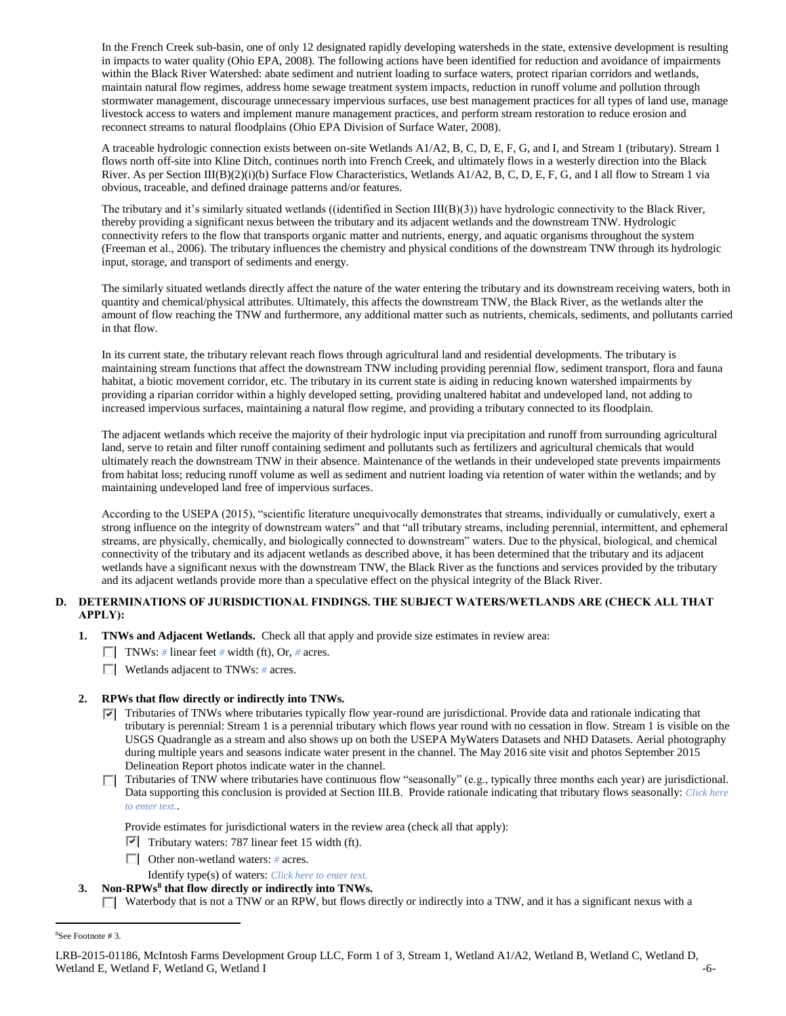In the French Creek sub-basin, one of only 12 designated rapidly developing watersheds in the state, extensive development is resulting in impacts to water quality (Ohio EPA, 2008). The following actions have been identified for reduction and avoidance of impairments within the Black River Watershed: abate sediment and nutrient loading to surface waters, protect riparian corridors and wetlands, maintain natural flow regimes, address home sewage treatment system impacts, reduction in runoff volume and pollution through stormwater management, discourage unnecessary impervious surfaces, use best management practices for all types of land use, manage livestock access to waters and implement manure management practices, and perform stream restoration to reduce erosion and reconnect streams to natural floodplains (Ohio EPA Division of Surface Water, 2008).

A traceable hydrologic connection exists between on-site Wetlands A1/A2, B, C, D, E, F, G, and I, and Stream 1 (tributary). Stream 1 flows north off-site into Kline Ditch, continues north into French Creek, and ultimately flows in a westerly direction into the Black River. As per Section III(B)(2)(i)(b) Surface Flow Characteristics, Wetlands A1/A2, B, C, D, E, F, G, and I all flow to Stream 1 via obvious, traceable, and defined drainage patterns and/or features.

The tributary and it's similarly situated wetlands ((identified in Section III(B)(3)) have hydrologic connectivity to the Black River, thereby providing a significant nexus between the tributary and its adjacent wetlands and the downstream TNW. Hydrologic connectivity refers to the flow that transports organic matter and nutrients, energy, and aquatic organisms throughout the system (Freeman et al., 2006). The tributary influences the chemistry and physical conditions of the downstream TNW through its hydrologic input, storage, and transport of sediments and energy.

The similarly situated wetlands directly affect the nature of the water entering the tributary and its downstream receiving waters, both in quantity and chemical/physical attributes. Ultimately, this affects the downstream TNW, the Black River, as the wetlands alter the amount of flow reaching the TNW and furthermore, any additional matter such as nutrients, chemicals, sediments, and pollutants carried in that flow.

In its current state, the tributary relevant reach flows through agricultural land and residential developments. The tributary is maintaining stream functions that affect the downstream TNW including providing perennial flow, sediment transport, flora and fauna habitat, a biotic movement corridor, etc. The tributary in its current state is aiding in reducing known watershed impairments by providing a riparian corridor within a highly developed setting, providing unaltered habitat and undeveloped land, not adding to increased impervious surfaces, maintaining a natural flow regime, and providing a tributary connected to its floodplain.

The adjacent wetlands which receive the majority of their hydrologic input via precipitation and runoff from surrounding agricultural land, serve to retain and filter runoff containing sediment and pollutants such as fertilizers and agricultural chemicals that would ultimately reach the downstream TNW in their absence. Maintenance of the wetlands in their undeveloped state prevents impairments from habitat loss; reducing runoff volume as well as sediment and nutrient loading via retention of water within the wetlands; and by maintaining undeveloped land free of impervious surfaces.

According to the USEPA (2015), "scientific literature unequivocally demonstrates that streams, individually or cumulatively, exert a strong influence on the integrity of downstream waters" and that "all tributary streams, including perennial, intermittent, and ephemeral streams, are physically, chemically, and biologically connected to downstream" waters. Due to the physical, biological, and chemical connectivity of the tributary and its adjacent wetlands as described above, it has been determined that the tributary and its adjacent wetlands have a significant nexus with the downstream TNW, the Black River as the functions and services provided by the tributary and its adjacent wetlands provide more than a speculative effect on the physical integrity of the Black River.

# **D. DETERMINATIONS OF JURISDICTIONAL FINDINGS. THE SUBJECT WATERS/WETLANDS ARE (CHECK ALL THAT APPLY):**

- **1. TNWs and Adjacent Wetlands.** Check all that apply and provide size estimates in review area:
	- **TNWs:** # linear feet # width (ft), Or, # acres.
	- Wetlands adjacent to TNWs: *#* acres.

# **2. RPWs that flow directly or indirectly into TNWs.**

- $\blacktriangledown$  Tributaries of TNWs where tributaries typically flow year-round are jurisdictional. Provide data and rationale indicating that tributary is perennial: Stream 1 is a perennial tributary which flows year round with no cessation in flow. Stream 1 is visible on the USGS Quadrangle as a stream and also shows up on both the USEPA MyWaters Datasets and NHD Datasets. Aerial photography during multiple years and seasons indicate water present in the channel. The May 2016 site visit and photos September 2015 Delineation Report photos indicate water in the channel.
- Tributaries of TNW where tributaries have continuous flow "seasonally" (e.g., typically three months each year) are jurisdictional. Data supporting this conclusion is provided at Section III.B. Provide rationale indicating that tributary flows seasonally: *Click here to enter text.*.
	- Provide estimates for jurisdictional waters in the review area (check all that apply):
	- $\triangledown$  Tributary waters: 787 linear feet 15 width (ft).
	- Other non-wetland waters: *#* acres.

Identify type(s) of waters: *Click here to enter text.*

### **3. Non-RPWs<sup>8</sup> that flow directly or indirectly into TNWs.**

 $\Box$  Waterbody that is not a TNW or an RPW, but flows directly or indirectly into a TNW, and it has a significant nexus with a

 $\overline{a}$ 8See Footnote # 3.

LRB-2015-01186, McIntosh Farms Development Group LLC, Form 1 of 3, Stream 1, Wetland A1/A2, Wetland B, Wetland C, Wetland D, Wetland E, Wetland F, Wetland G, Wetland I -6-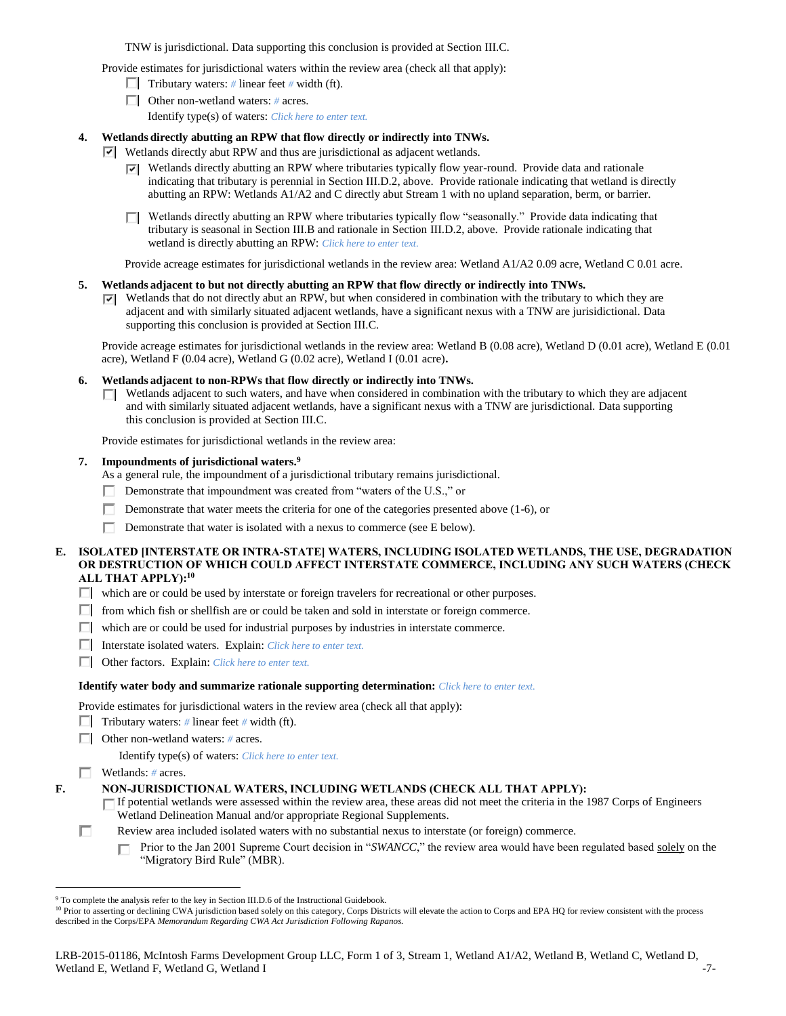TNW is jurisdictional. Data supporting this conclusion is provided at Section III.C.

Provide estimates for jurisdictional waters within the review area (check all that apply):

- Tributary waters:  $\#$  linear feet  $\#$  width (ft).
- Other non-wetland waters: *#* acres.
	- Identify type(s) of waters: *Click here to enter text.*

# **4. Wetlands directly abutting an RPW that flow directly or indirectly into TNWs.**

- Wetlands directly abut RPW and thus are jurisdictional as adjacent wetlands.
	- $\triangledown$  Wetlands directly abutting an RPW where tributaries typically flow year-round. Provide data and rationale indicating that tributary is perennial in Section III.D.2, above. Provide rationale indicating that wetland is directly abutting an RPW: Wetlands A1/A2 and C directly abut Stream 1 with no upland separation, berm, or barrier.
	- $\Box$  Wetlands directly abutting an RPW where tributaries typically flow "seasonally." Provide data indicating that tributary is seasonal in Section III.B and rationale in Section III.D.2, above. Provide rationale indicating that wetland is directly abutting an RPW: *Click here to enter text.*

Provide acreage estimates for jurisdictional wetlands in the review area: Wetland A1/A2 0.09 acre, Wetland C 0.01 acre.

# **5. Wetlands adjacent to but not directly abutting an RPW that flow directly or indirectly into TNWs.**

 $\triangledown$  Wetlands that do not directly abut an RPW, but when considered in combination with the tributary to which they are adjacent and with similarly situated adjacent wetlands, have a significant nexus with a TNW are jurisidictional. Data supporting this conclusion is provided at Section III.C.

Provide acreage estimates for jurisdictional wetlands in the review area: Wetland B (0.08 acre), Wetland D (0.01 acre), Wetland E (0.01 acre), Wetland F (0.04 acre), Wetland G (0.02 acre), Wetland I (0.01 acre)**.**

# **6. Wetlands adjacent to non-RPWs that flow directly or indirectly into TNWs.**

**T** Wetlands adjacent to such waters, and have when considered in combination with the tributary to which they are adjacent and with similarly situated adjacent wetlands, have a significant nexus with a TNW are jurisdictional. Data supporting this conclusion is provided at Section III.C.

Provide estimates for jurisdictional wetlands in the review area:

### **7. Impoundments of jurisdictional waters. 9**

As a general rule, the impoundment of a jurisdictional tributary remains jurisdictional.

- Demonstrate that impoundment was created from "waters of the U.S.," or п.
- Demonstrate that water meets the criteria for one of the categories presented above (1-6), or П.
- П Demonstrate that water is isolated with a nexus to commerce (see E below).

# **E. ISOLATED [INTERSTATE OR INTRA-STATE] WATERS, INCLUDING ISOLATED WETLANDS, THE USE, DEGRADATION OR DESTRUCTION OF WHICH COULD AFFECT INTERSTATE COMMERCE, INCLUDING ANY SUCH WATERS (CHECK ALL THAT APPLY):<sup>10</sup>**

- which are or could be used by interstate or foreign travelers for recreational or other purposes.
- $\Box$  from which fish or shellfish are or could be taken and sold in interstate or foreign commerce.
- which are or could be used for industrial purposes by industries in interstate commerce.
- Interstate isolated waters.Explain: *Click here to enter text.*
- Other factors.Explain: *Click here to enter text.*

#### **Identify water body and summarize rationale supporting determination:** *Click here to enter text.*

Provide estimates for jurisdictional waters in the review area (check all that apply):

- **Tributary waters:** # linear feet # width (ft).
- Other non-wetland waters: *#* acres.

Identify type(s) of waters: *Click here to enter text.*

# Wetlands: *#* acres.

 $\overline{a}$ 

**F. NON-JURISDICTIONAL WATERS, INCLUDING WETLANDS (CHECK ALL THAT APPLY):**

If potential wetlands were assessed within the review area, these areas did not meet the criteria in the 1987 Corps of Engineers Wetland Delineation Manual and/or appropriate Regional Supplements.

П Review area included isolated waters with no substantial nexus to interstate (or foreign) commerce.

Prior to the Jan 2001 Supreme Court decision in "*SWANCC*," the review area would have been regulated based solely on the п "Migratory Bird Rule" (MBR).

<sup>&</sup>lt;sup>9</sup> To complete the analysis refer to the key in Section III.D.6 of the Instructional Guidebook.

<sup>&</sup>lt;sup>10</sup> Prior to asserting or declining CWA jurisdiction based solely on this category, Corps Districts will elevate the action to Corps and EPA HQ for review consistent with the process described in the Corps/EPA *Memorandum Regarding CWA Act Jurisdiction Following Rapanos.*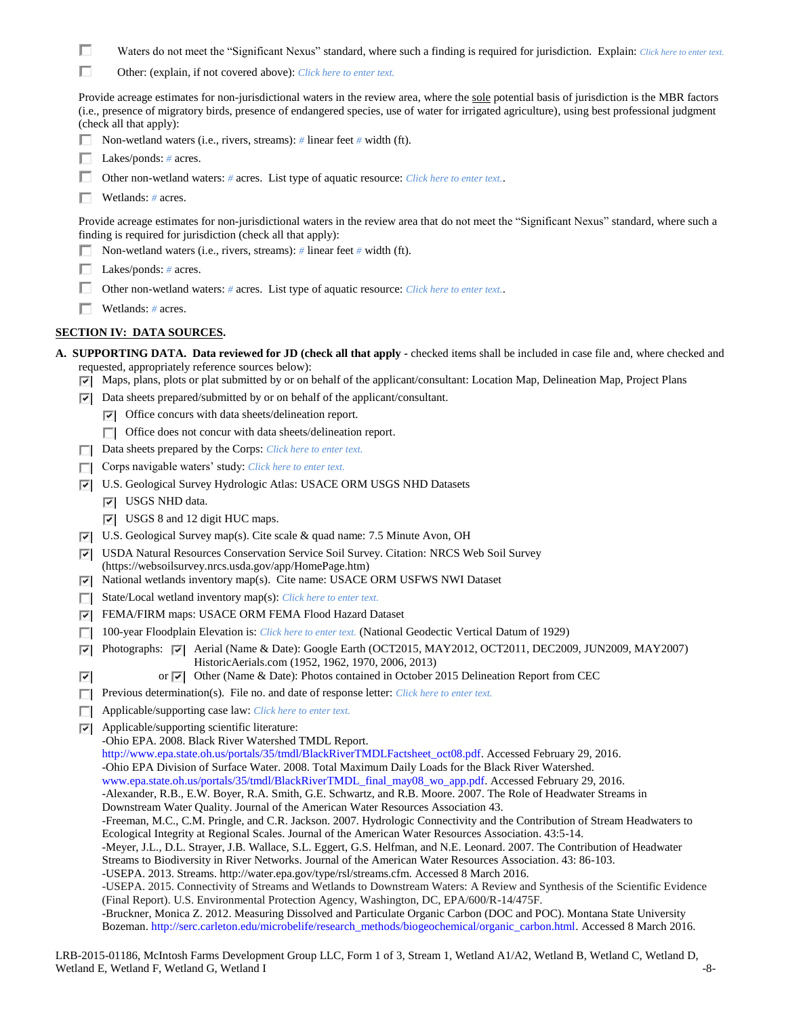- П Waters do not meet the "Significant Nexus" standard, where such a finding is required for jurisdiction. Explain: *Click here to enter text.*
- П Other: (explain, if not covered above): *Click here to enter text.*

Provide acreage estimates for non-jurisdictional waters in the review area, where the sole potential basis of jurisdiction is the MBR factors (i.e., presence of migratory birds, presence of endangered species, use of water for irrigated agriculture), using best professional judgment (check all that apply):

- Non-wetland waters (i.e., rivers, streams): *#* linear feet *#* width (ft).
- Lakes/ponds: *#* acres.
- П. Other non-wetland waters: *#* acres. List type of aquatic resource: *Click here to enter text.*.
- Wetlands: *#* acres.

Provide acreage estimates for non-jurisdictional waters in the review area that do not meet the "Significant Nexus" standard, where such a finding is required for jurisdiction (check all that apply):

- Non-wetland waters (i.e., rivers, streams): *#* linear feet *#* width (ft).
- Lakes/ponds: *#* acres.
- Other non-wetland waters: *#* acres. List type of aquatic resource: *Click here to enter text.*.
- Wetlands: *#* acres.

# **SECTION IV: DATA SOURCES.**

- **A. SUPPORTING DATA. Data reviewed for JD (check all that apply -** checked items shall be included in case file and, where checked and requested, appropriately reference sources below):
	- $\nabla$  Maps, plans, plots or plat submitted by or on behalf of the applicant/consultant: Location Map, Delineation Map, Project Plans
	- $\triangledown$  Data sheets prepared/submitted by or on behalf of the applicant/consultant.
		- $\triangledown$  Office concurs with data sheets/delineation report.
		- $\Box$  Office does not concur with data sheets/delineation report.
	- Data sheets prepared by the Corps: *Click here to enter text.*
	- Corps navigable waters' study: *Click here to enter text.*
	- U.S. Geological Survey Hydrologic Atlas: USACE ORM USGS NHD Datasets
		- **V** USGS NHD data.
		- USGS 8 and 12 digit HUC maps.
	- U.S. Geological Survey map(s). Cite scale & quad name: 7.5 Minute Avon, OH
	- USDA Natural Resources Conservation Service Soil Survey. Citation: NRCS Web Soil Survey (https://websoilsurvey.nrcs.usda.gov/app/HomePage.htm)
	- $\nabla$  National wetlands inventory map(s). Cite name: USACE ORM USFWS NWI Dataset
	- State/Local wetland inventory map(s): *Click here to enter text.*
	- FEMA/FIRM maps: USACE ORM FEMA Flood Hazard Dataset
	- 100-year Floodplain Elevation is: *Click here to enter text.* (National Geodectic Vertical Datum of 1929)
	- Photographs:  $\overline{\blacktriangledown}$  Aerial (Name & Date): Google Earth (OCT2015, MAY2012, OCT2011, DEC2009, JUN2009, MAY2007)  $|\nabla|$ HistoricAerials.com (1952, 1962, 1970, 2006, 2013)
	- ⊽ or  $\overline{\triangledown}$  Other (Name & Date): Photos contained in October 2015 Delineation Report from CEC
	- **Previous determination(s). File no. and date of response letter:** *Click here to enter text.*
	- Applicable/supporting case law: *Click here to enter text.*
	- $\nabla$  Applicable/supporting scientific literature:

-Ohio EPA. 2008. Black River Watershed TMDL Report. http://www.epa.state.oh.us/portals/35/tmdl/BlackRiverTMDLFactsheet\_oct08.pdf. Accessed February 29, 2016. -Ohio EPA Division of Surface Water. 2008. Total Maximum Daily Loads for the Black River Watershed. www.epa.state.oh.us/portals/35/tmdl/BlackRiverTMDL\_final\_may08\_wo\_app.pdf. Accessed February 29, 2016. -Alexander, R.B., E.W. Boyer, R.A. Smith, G.E. Schwartz, and R.B. Moore. 2007. The Role of Headwater Streams in Downstream Water Quality. Journal of the American Water Resources Association 43. -Freeman, M.C., C.M. Pringle, and C.R. Jackson. 2007. Hydrologic Connectivity and the Contribution of Stream Headwaters to Ecological Integrity at Regional Scales. Journal of the American Water Resources Association. 43:5-14. -Meyer, J.L., D.L. Strayer, J.B. Wallace, S.L. Eggert, G.S. Helfman, and N.E. Leonard. 2007. The Contribution of Headwater Streams to Biodiversity in River Networks. Journal of the American Water Resources Association. 43: 86-103. -USEPA. 2013. Streams. http://water.epa.gov/type/rsl/streams.cfm. Accessed 8 March 2016. -USEPA. 2015. Connectivity of Streams and Wetlands to Downstream Waters: A Review and Synthesis of the Scientific Evidence (Final Report). U.S. Environmental Protection Agency, Washington, DC, EPA/600/R-14/475F. -Bruckner, Monica Z. 2012. Measuring Dissolved and Particulate Organic Carbon (DOC and POC). Montana State University Bozeman. http://serc.carleton.edu/microbelife/research\_methods/biogeochemical/organic\_carbon.html. Accessed 8 March 2016.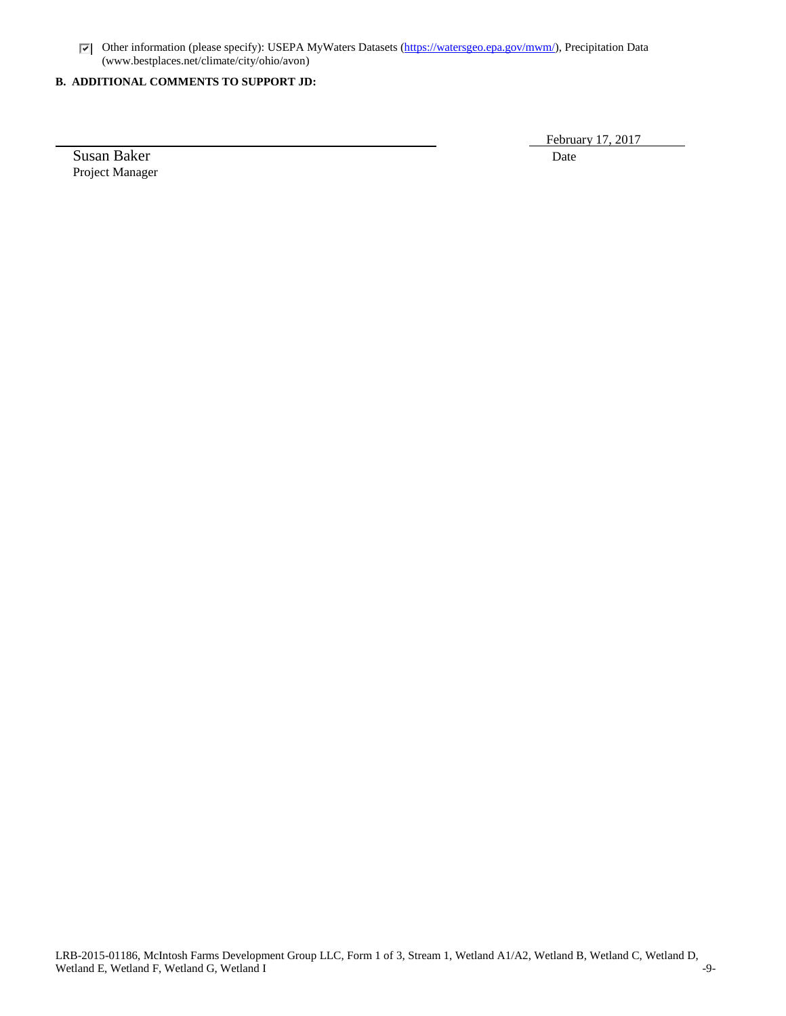Other information (please specify): USEPA MyWaters Datasets [\(https://watersgeo.epa.gov/mwm/\)](https://watersgeo.epa.gov/mwm/), Precipitation Data (www.bestplaces.net/climate/city/ohio/avon)

# **B. ADDITIONAL COMMENTS TO SUPPORT JD:**

Susan Baker Date Project Manager

February 17, 2017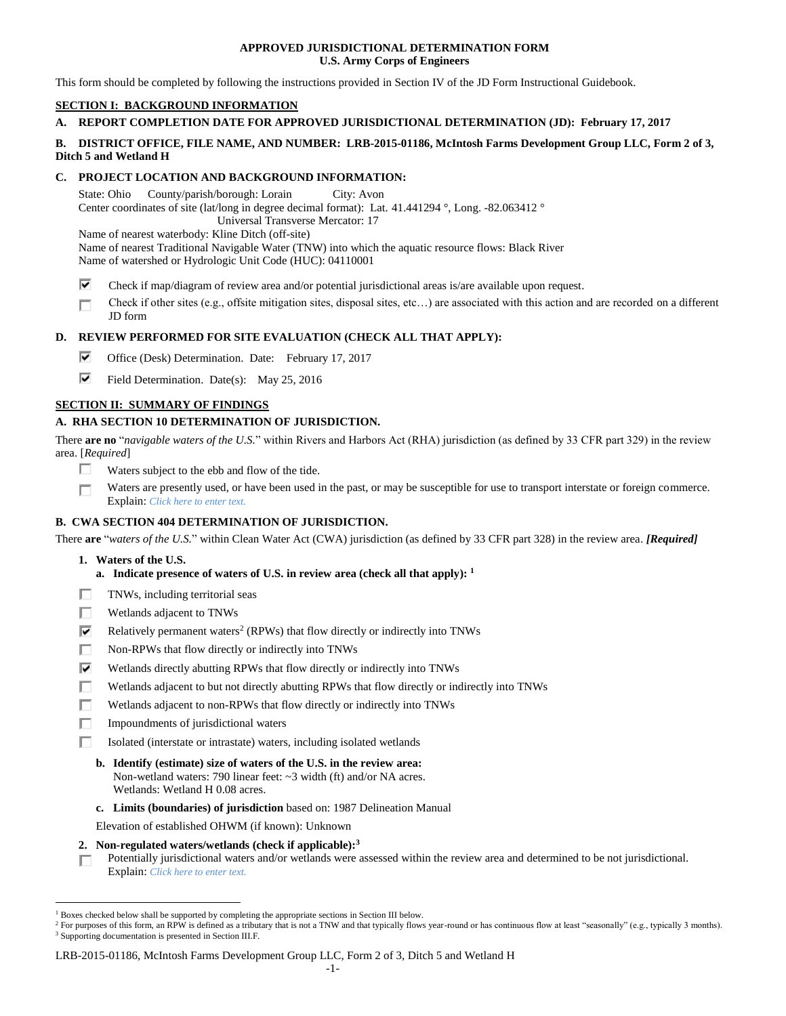### **APPROVED JURISDICTIONAL DETERMINATION FORM U.S. Army Corps of Engineers**

This form should be completed by following the instructions provided in Section IV of the JD Form Instructional Guidebook.

# **SECTION I: BACKGROUND INFORMATION**

# **A. REPORT COMPLETION DATE FOR APPROVED JURISDICTIONAL DETERMINATION (JD): February 17, 2017**

### **B. DISTRICT OFFICE, FILE NAME, AND NUMBER: LRB-2015-01186, McIntosh Farms Development Group LLC, Form 2 of 3, Ditch 5 and Wetland H**

# **C. PROJECT LOCATION AND BACKGROUND INFORMATION:**

State: Ohio County/parish/borough: Lorain City: Avon Center coordinates of site (lat/long in degree decimal format): Lat. 41.441294 °, Long. -82.063412 ° Universal Transverse Mercator: 17

Name of nearest waterbody: Kline Ditch (off-site)

Name of nearest Traditional Navigable Water (TNW) into which the aquatic resource flows: Black River Name of watershed or Hydrologic Unit Code (HUC): 04110001

- ⊽ Check if map/diagram of review area and/or potential jurisdictional areas is/are available upon request.
- Check if other sites (e.g., offsite mitigation sites, disposal sites, etc…) are associated with this action and are recorded on a different П JD form

# **D. REVIEW PERFORMED FOR SITE EVALUATION (CHECK ALL THAT APPLY):**

- ⊽ Office (Desk) Determination. Date: February 17, 2017
- ⊽. Field Determination. Date(s): May 25, 2016

# **SECTION II: SUMMARY OF FINDINGS**

# **A. RHA SECTION 10 DETERMINATION OF JURISDICTION.**

There **are no** "*navigable waters of the U.S.*" within Rivers and Harbors Act (RHA) jurisdiction (as defined by 33 CFR part 329) in the review area. [*Required*]

- Waters subject to the ebb and flow of the tide. п
- Waters are presently used, or have been used in the past, or may be susceptible for use to transport interstate or foreign commerce. П Explain: *Click here to enter text.*

# **B. CWA SECTION 404 DETERMINATION OF JURISDICTION.**

There **are** "*waters of the U.S.*" within Clean Water Act (CWA) jurisdiction (as defined by 33 CFR part 328) in the review area. *[Required]*

**1. Waters of the U.S.**

 $\overline{a}$ 

- **a. Indicate presence of waters of U.S. in review area (check all that apply): 1**
- п TNWs, including territorial seas
- П Wetlands adjacent to TNWs
- ⊽ Relatively permanent waters<sup>2</sup> (RPWs) that flow directly or indirectly into TNWs
- г Non-RPWs that flow directly or indirectly into TNWs
- Wetlands directly abutting RPWs that flow directly or indirectly into TNWs ⊽
- п Wetlands adjacent to but not directly abutting RPWs that flow directly or indirectly into TNWs
- п Wetlands adjacent to non-RPWs that flow directly or indirectly into TNWs
- п. Impoundments of jurisdictional waters
- Isolated (interstate or intrastate) waters, including isolated wetlands П.
	- **b. Identify (estimate) size of waters of the U.S. in the review area:** Non-wetland waters: 790 linear feet: ~3 width (ft) and/or NA acres. Wetlands: Wetland H 0.08 acres.
	- **c. Limits (boundaries) of jurisdiction** based on: 1987 Delineation Manual
	- Elevation of established OHWM (if known): Unknown
- **2. Non-regulated waters/wetlands (check if applicable): 3**

Potentially jurisdictional waters and/or wetlands were assessed within the review area and determined to be not jurisdictional. П. Explain: *Click here to enter text.*

#### LRB-2015-01186, McIntosh Farms Development Group LLC, Form 2 of 3, Ditch 5 and Wetland H

<sup>&</sup>lt;sup>1</sup> Boxes checked below shall be supported by completing the appropriate sections in Section III below.

<sup>&</sup>lt;sup>2</sup> For purposes of this form, an RPW is defined as a tributary that is not a TNW and that typically flows year-round or has continuous flow at least "seasonally" (e.g., typically 3 months). <sup>3</sup> Supporting documentation is presented in Section III.F.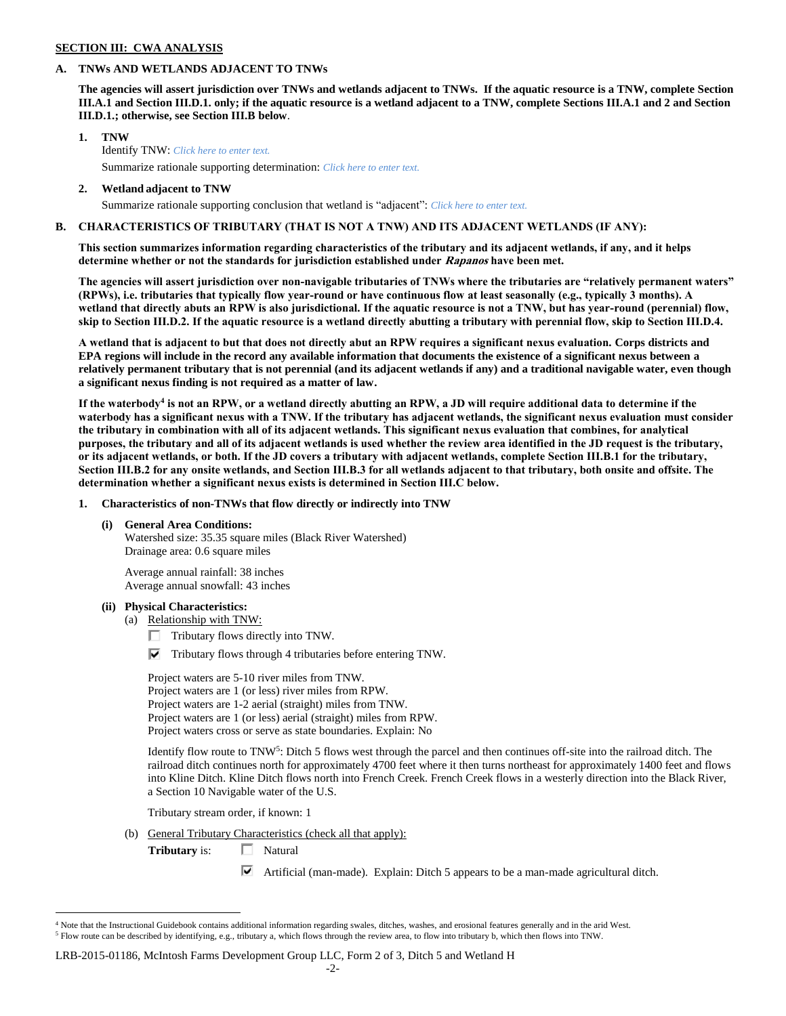#### **SECTION III: CWA ANALYSIS**

### **A. TNWs AND WETLANDS ADJACENT TO TNWs**

**The agencies will assert jurisdiction over TNWs and wetlands adjacent to TNWs. If the aquatic resource is a TNW, complete Section III.A.1 and Section III.D.1. only; if the aquatic resource is a wetland adjacent to a TNW, complete Sections III.A.1 and 2 and Section III.D.1.; otherwise, see Section III.B below**.

- **1. TNW**  Identify TNW: *Click here to enter text.* Summarize rationale supporting determination: *Click here to enter text.*
- **2. Wetland adjacent to TNW**

Summarize rationale supporting conclusion that wetland is "adjacent": *Click here to enter text.*

### **B. CHARACTERISTICS OF TRIBUTARY (THAT IS NOT A TNW) AND ITS ADJACENT WETLANDS (IF ANY):**

**This section summarizes information regarding characteristics of the tributary and its adjacent wetlands, if any, and it helps determine whether or not the standards for jurisdiction established under Rapanos have been met.** 

**The agencies will assert jurisdiction over non-navigable tributaries of TNWs where the tributaries are "relatively permanent waters" (RPWs), i.e. tributaries that typically flow year-round or have continuous flow at least seasonally (e.g., typically 3 months). A wetland that directly abuts an RPW is also jurisdictional. If the aquatic resource is not a TNW, but has year-round (perennial) flow, skip to Section III.D.2. If the aquatic resource is a wetland directly abutting a tributary with perennial flow, skip to Section III.D.4.**

**A wetland that is adjacent to but that does not directly abut an RPW requires a significant nexus evaluation. Corps districts and EPA regions will include in the record any available information that documents the existence of a significant nexus between a relatively permanent tributary that is not perennial (and its adjacent wetlands if any) and a traditional navigable water, even though a significant nexus finding is not required as a matter of law.**

**If the waterbody<sup>4</sup> is not an RPW, or a wetland directly abutting an RPW, a JD will require additional data to determine if the waterbody has a significant nexus with a TNW. If the tributary has adjacent wetlands, the significant nexus evaluation must consider the tributary in combination with all of its adjacent wetlands. This significant nexus evaluation that combines, for analytical purposes, the tributary and all of its adjacent wetlands is used whether the review area identified in the JD request is the tributary, or its adjacent wetlands, or both. If the JD covers a tributary with adjacent wetlands, complete Section III.B.1 for the tributary, Section III.B.2 for any onsite wetlands, and Section III.B.3 for all wetlands adjacent to that tributary, both onsite and offsite. The determination whether a significant nexus exists is determined in Section III.C below.**

**1. Characteristics of non-TNWs that flow directly or indirectly into TNW**

#### **(i) General Area Conditions:**

Watershed size: 35.35 square miles (Black River Watershed) Drainage area: 0.6 square miles

Average annual rainfall: 38 inches Average annual snowfall: 43 inches

#### **(ii) Physical Characteristics:**

- (a) Relationship with TNW:
	- $\Box$  Tributary flows directly into TNW.

 $\nabla$  Tributary flows through 4 tributaries before entering TNW.

Project waters are 5-10 river miles from TNW. Project waters are 1 (or less) river miles from RPW. Project waters are 1-2 aerial (straight) miles from TNW. Project waters are 1 (or less) aerial (straight) miles from RPW. Project waters cross or serve as state boundaries. Explain: No

Identify flow route to TNW<sup>5</sup>: Ditch 5 flows west through the parcel and then continues off-site into the railroad ditch. The railroad ditch continues north for approximately 4700 feet where it then turns northeast for approximately 1400 feet and flows into Kline Ditch. Kline Ditch flows north into French Creek. French Creek flows in a westerly direction into the Black River, a Section 10 Navigable water of the U.S.

Tributary stream order, if known: 1

(b) General Tributary Characteristics (check all that apply):

**Tributary** is:  $\Box$  Natural

 $\overline{a}$ 

Artificial (man-made). Explain: Ditch 5 appears to be a man-made agricultural ditch.

#### LRB-2015-01186, McIntosh Farms Development Group LLC, Form 2 of 3, Ditch 5 and Wetland H

<sup>&</sup>lt;sup>4</sup> Note that the Instructional Guidebook contains additional information regarding swales, ditches, washes, and erosional features generally and in the arid West. <sup>5</sup> Flow route can be described by identifying, e.g., tributary a, which flows through the review area, to flow into tributary b, which then flows into TNW.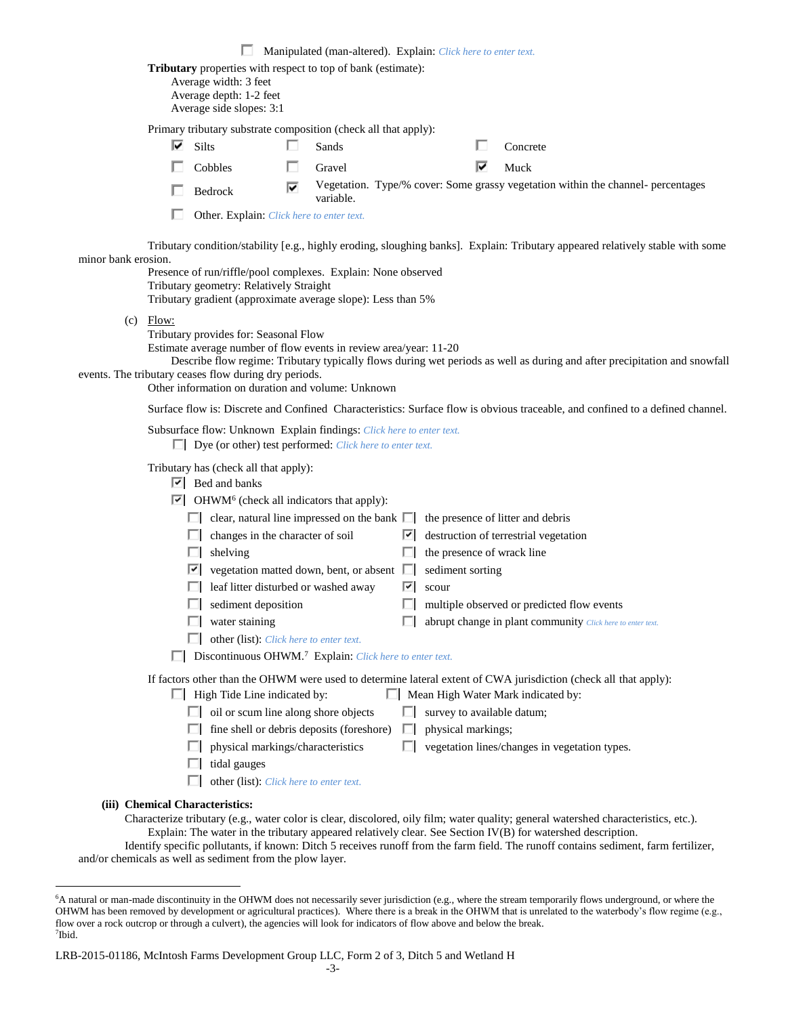|                     |                                                                                                                                                                                                                                                                                                                                                                                                                                                                                                                                                                                                                                                                                                                                                                                                                                      |                                                                                                                                                                                                                                                                       |   | Manipulated (man-altered). Explain: Click here to enter text. |   |                    |   |                                                                                                                                                                                                                                       |
|---------------------|--------------------------------------------------------------------------------------------------------------------------------------------------------------------------------------------------------------------------------------------------------------------------------------------------------------------------------------------------------------------------------------------------------------------------------------------------------------------------------------------------------------------------------------------------------------------------------------------------------------------------------------------------------------------------------------------------------------------------------------------------------------------------------------------------------------------------------------|-----------------------------------------------------------------------------------------------------------------------------------------------------------------------------------------------------------------------------------------------------------------------|---|---------------------------------------------------------------|---|--------------------|---|---------------------------------------------------------------------------------------------------------------------------------------------------------------------------------------------------------------------------------------|
|                     |                                                                                                                                                                                                                                                                                                                                                                                                                                                                                                                                                                                                                                                                                                                                                                                                                                      | Tributary properties with respect to top of bank (estimate):<br>Average width: 3 feet<br>Average depth: 1-2 feet<br>Average side slopes: 3:1                                                                                                                          |   |                                                               |   |                    |   |                                                                                                                                                                                                                                       |
|                     | Primary tributary substrate composition (check all that apply):                                                                                                                                                                                                                                                                                                                                                                                                                                                                                                                                                                                                                                                                                                                                                                      |                                                                                                                                                                                                                                                                       |   |                                                               |   |                    |   |                                                                                                                                                                                                                                       |
|                     | ☞                                                                                                                                                                                                                                                                                                                                                                                                                                                                                                                                                                                                                                                                                                                                                                                                                                    | Silts                                                                                                                                                                                                                                                                 |   | Sands                                                         |   |                    |   | Concrete                                                                                                                                                                                                                              |
|                     |                                                                                                                                                                                                                                                                                                                                                                                                                                                                                                                                                                                                                                                                                                                                                                                                                                      | Cobbles                                                                                                                                                                                                                                                               |   | Gravel                                                        |   |                    | ⊽ | Muck                                                                                                                                                                                                                                  |
|                     |                                                                                                                                                                                                                                                                                                                                                                                                                                                                                                                                                                                                                                                                                                                                                                                                                                      | Bedrock                                                                                                                                                                                                                                                               | ⊽ | variable.                                                     |   |                    |   | Vegetation. Type/% cover: Some grassy vegetation within the channel- percentages                                                                                                                                                      |
|                     |                                                                                                                                                                                                                                                                                                                                                                                                                                                                                                                                                                                                                                                                                                                                                                                                                                      | Other. Explain: Click here to enter text.                                                                                                                                                                                                                             |   |                                                               |   |                    |   |                                                                                                                                                                                                                                       |
| minor bank erosion. |                                                                                                                                                                                                                                                                                                                                                                                                                                                                                                                                                                                                                                                                                                                                                                                                                                      | Presence of run/riffle/pool complexes. Explain: None observed<br>Tributary geometry: Relatively Straight                                                                                                                                                              |   |                                                               |   |                    |   | Tributary condition/stability [e.g., highly eroding, sloughing banks]. Explain: Tributary appeared relatively stable with some                                                                                                        |
|                     | Tributary gradient (approximate average slope): Less than 5%<br>$(c)$ Flow:<br>Tributary provides for: Seasonal Flow<br>Estimate average number of flow events in review area/year: 11-20<br>Describe flow regime: Tributary typically flows during wet periods as well as during and after precipitation and snowfall<br>events. The tributary ceases flow during dry periods.<br>Other information on duration and volume: Unknown                                                                                                                                                                                                                                                                                                                                                                                                 |                                                                                                                                                                                                                                                                       |   |                                                               |   |                    |   |                                                                                                                                                                                                                                       |
|                     | Surface flow is: Discrete and Confined Characteristics: Surface flow is obvious traceable, and confined to a defined channel.                                                                                                                                                                                                                                                                                                                                                                                                                                                                                                                                                                                                                                                                                                        |                                                                                                                                                                                                                                                                       |   |                                                               |   |                    |   |                                                                                                                                                                                                                                       |
|                     | Subsurface flow: Unknown Explain findings: Click here to enter text.<br>$\Box$ Dye (or other) test performed: <i>Click here to enter text.</i>                                                                                                                                                                                                                                                                                                                                                                                                                                                                                                                                                                                                                                                                                       |                                                                                                                                                                                                                                                                       |   |                                                               |   |                    |   |                                                                                                                                                                                                                                       |
|                     | Tributary has (check all that apply):<br>$\boxed{\triangleright}$ Bed and banks<br>$\triangleright$ OHWM <sup>6</sup> (check all indicators that apply):<br>$\Box$ clear, natural line impressed on the bank $\Box$<br>the presence of litter and debris<br>changes in the character of soil<br>destruction of terrestrial vegetation<br>ш<br>$\mathbf{K}$<br>shelving<br>the presence of wrack line<br>ш<br>ш<br>vegetation matted down, bent, or absent $\Box$<br>sediment sorting<br>lY.<br>leaf litter disturbed or washed away<br>罓<br>scour<br>sediment deposition<br>multiple observed or predicted flow events<br>water staining<br>abrupt change in plant community Click here to enter text.<br>other (list): Click here to enter text.<br>ш<br>$\Box$ Discontinuous OHWM. <sup>7</sup> Explain: Click here to enter text. |                                                                                                                                                                                                                                                                       |   |                                                               |   |                    |   |                                                                                                                                                                                                                                       |
|                     |                                                                                                                                                                                                                                                                                                                                                                                                                                                                                                                                                                                                                                                                                                                                                                                                                                      | $\Box$ High Tide Line indicated by:<br>oil or scum line along shore objects<br>ш<br>fine shell or debris deposits (foreshore)<br>Ш<br>physical markings/characteristics<br>tidal gauges<br>other (list): Click here to enter text.<br>(iii) Chemical Characteristics: |   |                                                               | ш | physical markings; |   | If factors other than the OHWM were used to determine lateral extent of CWA jurisdiction (check all that apply):<br>Mean High Water Mark indicated by:<br>survey to available datum;<br>vegetation lines/changes in vegetation types. |
|                     |                                                                                                                                                                                                                                                                                                                                                                                                                                                                                                                                                                                                                                                                                                                                                                                                                                      |                                                                                                                                                                                                                                                                       |   |                                                               |   |                    |   | Characterize tributary (e.g., water color is clear, discolored, oily film; water quality; general watershed characteristics, etc.).                                                                                                   |

Explain: The water in the tributary appeared relatively clear. See Section IV(B) for watershed description.

Identify specific pollutants, if known: Ditch 5 receives runoff from the farm field. The runoff contains sediment, farm fertilizer, and/or chemicals as well as sediment from the plow layer.

 $\overline{a}$ 

<sup>6</sup>A natural or man-made discontinuity in the OHWM does not necessarily sever jurisdiction (e.g., where the stream temporarily flows underground, or where the OHWM has been removed by development or agricultural practices). Where there is a break in the OHWM that is unrelated to the waterbody's flow regime (e.g., flow over a rock outcrop or through a culvert), the agencies will look for indicators of flow above and below the break. 7 Ibid.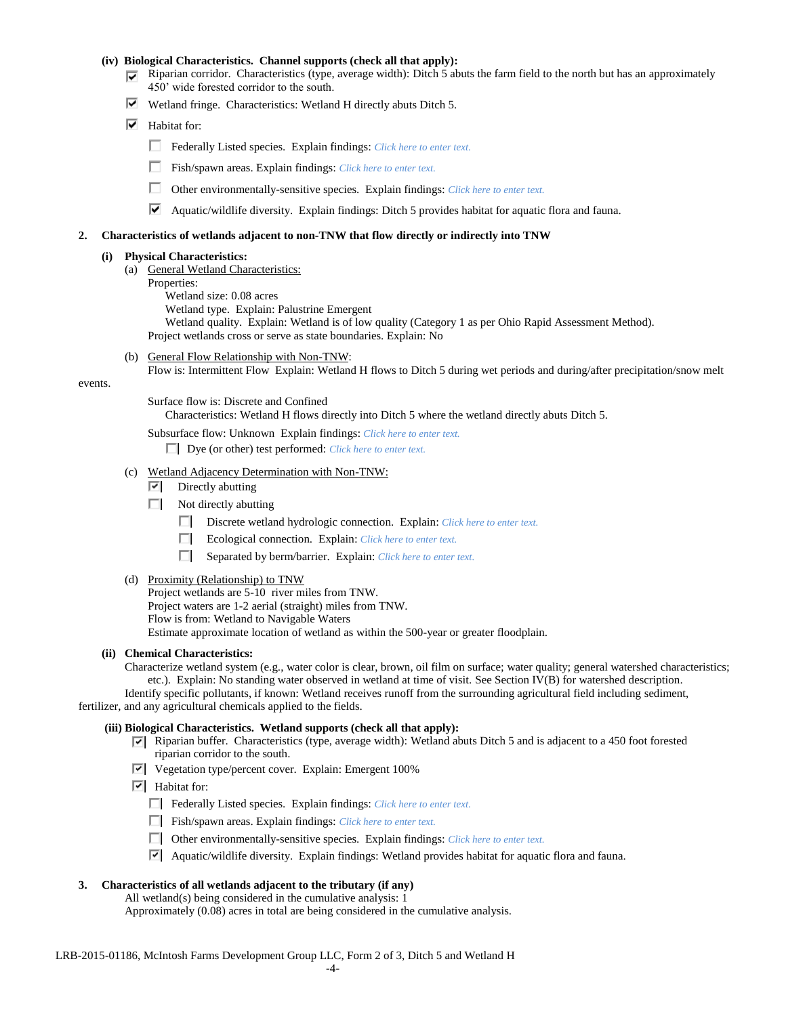#### **(iv) Biological Characteristics. Channel supports (check all that apply):**

- Riparian corridor. Characteristics (type, average width): Ditch 5 abuts the farm field to the north but has an approximately 450' wide forested corridor to the south.
- Wetland fringe. Characteristics: Wetland H directly abuts Ditch 5.
- $\overline{\triangledown}$  Habitat for:
	- Federally Listed species. Explain findings: *Click here to enter text.*
	- Fish/spawn areas. Explain findings: *Click here to enter text.*
	- Other environmentally-sensitive species. Explain findings: *Click here to enter text.*
	- Aquatic/wildlife diversity. Explain findings: Ditch 5 provides habitat for aquatic flora and fauna.

#### **2. Characteristics of wetlands adjacent to non-TNW that flow directly or indirectly into TNW**

#### **(i) Physical Characteristics:**

- (a) General Wetland Characteristics:
	- Properties:
		- Wetland size: 0.08 acres
		- Wetland type. Explain: Palustrine Emergent

Wetland quality. Explain: Wetland is of low quality (Category 1 as per Ohio Rapid Assessment Method).

Project wetlands cross or serve as state boundaries. Explain: No

(b) General Flow Relationship with Non-TNW:

Flow is: Intermittent Flow Explain: Wetland H flows to Ditch 5 during wet periods and during/after precipitation/snow melt

events.

Surface flow is: Discrete and Confined

Characteristics: Wetland H flows directly into Ditch 5 where the wetland directly abuts Ditch 5.

Subsurface flow: Unknown Explain findings: *Click here to enter text.*

Dye (or other) test performed: *Click here to enter text.*

- (c) Wetland Adjacency Determination with Non-TNW:
	- $\boxed{\triangleright}$  Directly abutting
	- $\Box$  Not directly abutting
		- Discrete wetland hydrologic connection. Explain: *Click here to enter text.*
		- Ecological connection. Explain: *Click here to enter text.*
		- Separated by berm/barrier. Explain: *Click here to enter text.*
- (d) Proximity (Relationship) to TNW

Project wetlands are 5-10 river miles from TNW. Project waters are 1-2 aerial (straight) miles from TNW. Flow is from: Wetland to Navigable Waters Estimate approximate location of wetland as within the 500-year or greater floodplain.

#### **(ii) Chemical Characteristics:**

Characterize wetland system (e.g., water color is clear, brown, oil film on surface; water quality; general watershed characteristics; etc.). Explain: No standing water observed in wetland at time of visit. See Section IV(B) for watershed description.

Identify specific pollutants, if known: Wetland receives runoff from the surrounding agricultural field including sediment, fertilizer, and any agricultural chemicals applied to the fields.

#### **(iii) Biological Characteristics. Wetland supports (check all that apply):**

- $\nabla$  Riparian buffer. Characteristics (type, average width): Wetland abuts Ditch 5 and is adjacent to a 450 foot forested riparian corridor to the south.
- Vegetation type/percent cover. Explain: Emergent 100%
- $\boxed{\triangledown}$  Habitat for:

Federally Listed species. Explain findings: *Click here to enter text*.

- Fish/spawn areas. Explain findings: *Click here to enter text.*
- Other environmentally-sensitive species. Explain findings: *Click here to enter text.*
- Aquatic/wildlife diversity. Explain findings: Wetland provides habitat for aquatic flora and fauna.
- **3. Characteristics of all wetlands adjacent to the tributary (if any)**

All wetland(s) being considered in the cumulative analysis: 1

Approximately (0.08) acres in total are being considered in the cumulative analysis.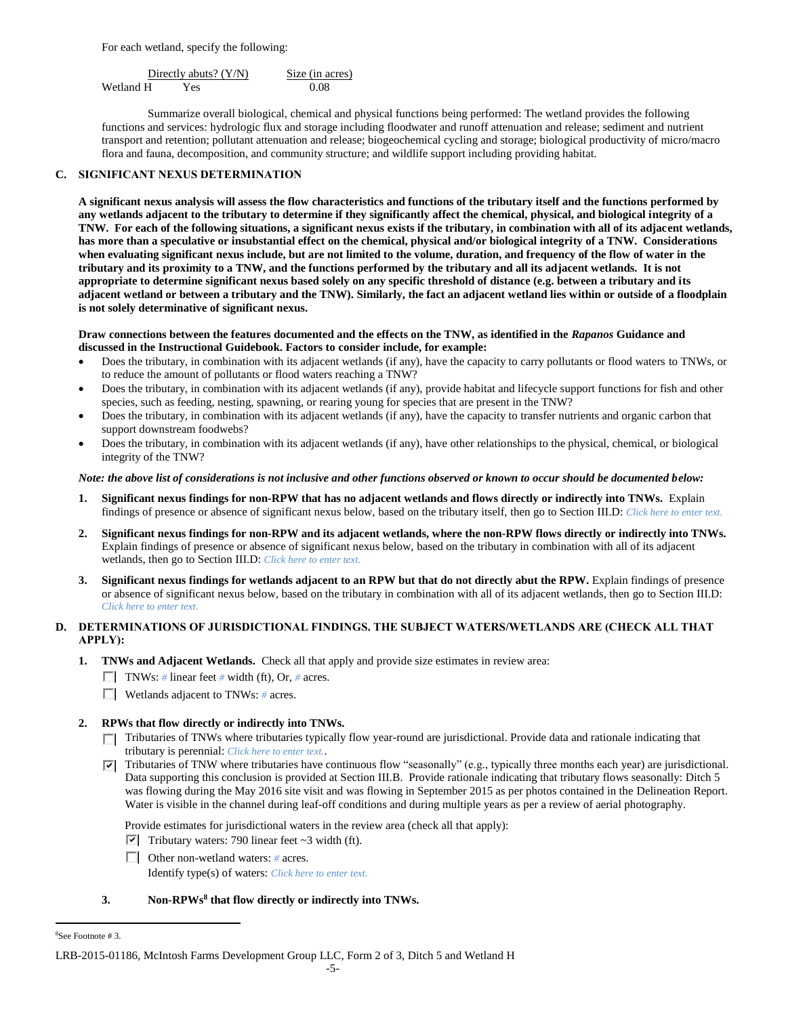For each wetland, specify the following:

Directly abuts? (Y/N) Size (in acres) Wetland H Yes 0.08

Summarize overall biological, chemical and physical functions being performed: The wetland provides the following functions and services: hydrologic flux and storage including floodwater and runoff attenuation and release; sediment and nutrient transport and retention; pollutant attenuation and release; biogeochemical cycling and storage; biological productivity of micro/macro flora and fauna, decomposition, and community structure; and wildlife support including providing habitat.

# **C. SIGNIFICANT NEXUS DETERMINATION**

**A significant nexus analysis will assess the flow characteristics and functions of the tributary itself and the functions performed by any wetlands adjacent to the tributary to determine if they significantly affect the chemical, physical, and biological integrity of a TNW. For each of the following situations, a significant nexus exists if the tributary, in combination with all of its adjacent wetlands, has more than a speculative or insubstantial effect on the chemical, physical and/or biological integrity of a TNW. Considerations when evaluating significant nexus include, but are not limited to the volume, duration, and frequency of the flow of water in the tributary and its proximity to a TNW, and the functions performed by the tributary and all its adjacent wetlands. It is not appropriate to determine significant nexus based solely on any specific threshold of distance (e.g. between a tributary and its adjacent wetland or between a tributary and the TNW). Similarly, the fact an adjacent wetland lies within or outside of a floodplain is not solely determinative of significant nexus.** 

### **Draw connections between the features documented and the effects on the TNW, as identified in the** *Rapanos* **Guidance and discussed in the Instructional Guidebook. Factors to consider include, for example:**

- Does the tributary, in combination with its adjacent wetlands (if any), have the capacity to carry pollutants or flood waters to TNWs, or to reduce the amount of pollutants or flood waters reaching a TNW?
- Does the tributary, in combination with its adjacent wetlands (if any), provide habitat and lifecycle support functions for fish and other species, such as feeding, nesting, spawning, or rearing young for species that are present in the TNW?
- Does the tributary, in combination with its adjacent wetlands (if any), have the capacity to transfer nutrients and organic carbon that support downstream foodwebs?
- Does the tributary, in combination with its adjacent wetlands (if any), have other relationships to the physical, chemical, or biological integrity of the TNW?

### *Note: the above list of considerations is not inclusive and other functions observed or known to occur should be documented below:*

- **1. Significant nexus findings for non-RPW that has no adjacent wetlands and flows directly or indirectly into TNWs.** Explain findings of presence or absence of significant nexus below, based on the tributary itself, then go to Section III.D: *Click here to enter text.*
- **2. Significant nexus findings for non-RPW and its adjacent wetlands, where the non-RPW flows directly or indirectly into TNWs.**  Explain findings of presence or absence of significant nexus below, based on the tributary in combination with all of its adjacent wetlands, then go to Section III.D: *Click here to enter text.*
- **3. Significant nexus findings for wetlands adjacent to an RPW but that do not directly abut the RPW.** Explain findings of presence or absence of significant nexus below, based on the tributary in combination with all of its adjacent wetlands, then go to Section III.D: *Click here to enter text.*

# **D. DETERMINATIONS OF JURISDICTIONAL FINDINGS. THE SUBJECT WATERS/WETLANDS ARE (CHECK ALL THAT APPLY):**

- **1. TNWs and Adjacent Wetlands.** Check all that apply and provide size estimates in review area:
	- **TNWs:** # linear feet # width (ft), Or, # acres.
	- Wetlands adjacent to TNWs: *#* acres.

# **2. RPWs that flow directly or indirectly into TNWs.**

- Tributaries of TNWs where tributaries typically flow year-round are jurisdictional. Provide data and rationale indicating that tributary is perennial: *Click here to enter text.*.
- Tributaries of TNW where tributaries have continuous flow "seasonally" (e.g., typically three months each year) are jurisdictional. Data supporting this conclusion is provided at Section III.B. Provide rationale indicating that tributary flows seasonally: Ditch 5 was flowing during the May 2016 site visit and was flowing in September 2015 as per photos contained in the Delineation Report. Water is visible in the channel during leaf-off conditions and during multiple years as per a review of aerial photography.

Provide estimates for jurisdictional waters in the review area (check all that apply):

 $\triangledown$  Tributary waters: 790 linear feet ~3 width (ft).

Other non-wetland waters: *#* acres.

Identify type(s) of waters: *Click here to enter text.*

# **3. Non-RPWs<sup>8</sup> that flow directly or indirectly into TNWs.**

 $\overline{a}$ 8See Footnote # 3.

LRB-2015-01186, McIntosh Farms Development Group LLC, Form 2 of 3, Ditch 5 and Wetland H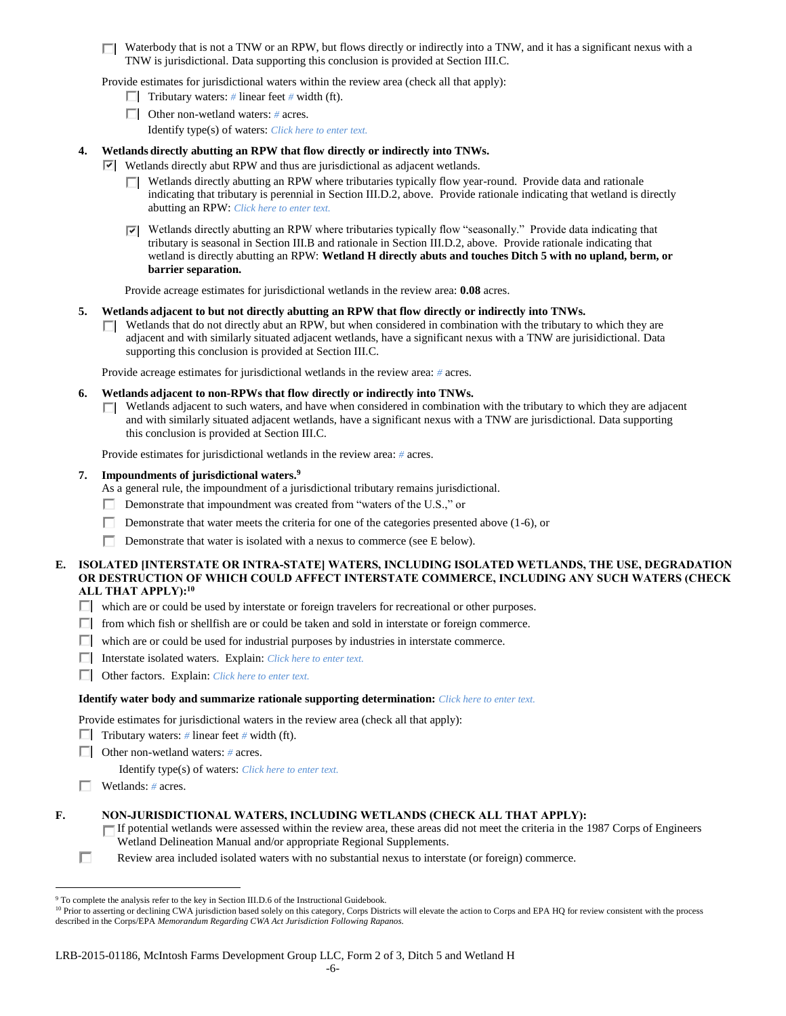$\Box$  Waterbody that is not a TNW or an RPW, but flows directly or indirectly into a TNW, and it has a significant nexus with a TNW is jurisdictional. Data supporting this conclusion is provided at Section III.C.

Provide estimates for jurisdictional waters within the review area (check all that apply):

- Tributary waters:  $\#$  linear feet  $\#$  width (ft).
- Other non-wetland waters: *#* acres.

Identify type(s) of waters: *Click here to enter text.*

# **4. Wetlands directly abutting an RPW that flow directly or indirectly into TNWs.**

- $\triangleright$  Wetlands directly abut RPW and thus are jurisdictional as adjacent wetlands.
	- $\Box$  Wetlands directly abutting an RPW where tributaries typically flow year-round. Provide data and rationale indicating that tributary is perennial in Section III.D.2, above. Provide rationale indicating that wetland is directly abutting an RPW: *Click here to enter text.*
	- $\nabla$  Wetlands directly abutting an RPW where tributaries typically flow "seasonally." Provide data indicating that tributary is seasonal in Section III.B and rationale in Section III.D.2, above. Provide rationale indicating that wetland is directly abutting an RPW: **Wetland H directly abuts and touches Ditch 5 with no upland, berm, or barrier separation.**

Provide acreage estimates for jurisdictional wetlands in the review area: **0.08** acres.

# **5. Wetlands adjacent to but not directly abutting an RPW that flow directly or indirectly into TNWs.**

 $\Box$  Wetlands that do not directly abut an RPW, but when considered in combination with the tributary to which they are adjacent and with similarly situated adjacent wetlands, have a significant nexus with a TNW are jurisidictional. Data supporting this conclusion is provided at Section III.C.

Provide acreage estimates for jurisdictional wetlands in the review area: *#* acres.

- **6. Wetlands adjacent to non-RPWs that flow directly or indirectly into TNWs.** 
	- Wetlands adjacent to such waters, and have when considered in combination with the tributary to which they are adjacent П and with similarly situated adjacent wetlands, have a significant nexus with a TNW are jurisdictional. Data supporting this conclusion is provided at Section III.C.

Provide estimates for jurisdictional wetlands in the review area: *#* acres.

### **7. Impoundments of jurisdictional waters. 9**

As a general rule, the impoundment of a jurisdictional tributary remains jurisdictional.

- Demonstrate that impoundment was created from "waters of the U.S.," or
- Demonstrate that water meets the criteria for one of the categories presented above (1-6), or
- Demonstrate that water is isolated with a nexus to commerce (see E below).

### **E. ISOLATED [INTERSTATE OR INTRA-STATE] WATERS, INCLUDING ISOLATED WETLANDS, THE USE, DEGRADATION OR DESTRUCTION OF WHICH COULD AFFECT INTERSTATE COMMERCE, INCLUDING ANY SUCH WATERS (CHECK ALL THAT APPLY):<sup>10</sup>**

- which are or could be used by interstate or foreign travelers for recreational or other purposes.
- $\Box$  from which fish or shellfish are or could be taken and sold in interstate or foreign commerce.
- $\Box$  which are or could be used for industrial purposes by industries in interstate commerce.
- Interstate isolated waters.Explain: *Click here to enter text.*
- Other factors.Explain: *Click here to enter text.*

#### **Identify water body and summarize rationale supporting determination:** *Click here to enter text.*

Provide estimates for jurisdictional waters in the review area (check all that apply):

- **Tributary waters:** # linear feet # width (ft).
- Other non-wetland waters: *#* acres.

Identify type(s) of waters: *Click here to enter text.*

Wetlands: *#* acres.

 $\overline{a}$ 

# **F. NON-JURISDICTIONAL WATERS, INCLUDING WETLANDS (CHECK ALL THAT APPLY):**

- If potential wetlands were assessed within the review area, these areas did not meet the criteria in the 1987 Corps of Engineers Wetland Delineation Manual and/or appropriate Regional Supplements.
- П Review area included isolated waters with no substantial nexus to interstate (or foreign) commerce.

<sup>&</sup>lt;sup>9</sup> To complete the analysis refer to the key in Section III.D.6 of the Instructional Guidebook.

<sup>&</sup>lt;sup>10</sup> Prior to asserting or declining CWA jurisdiction based solely on this category, Corps Districts will elevate the action to Corps and EPA HQ for review consistent with the process described in the Corps/EPA *Memorandum Regarding CWA Act Jurisdiction Following Rapanos.*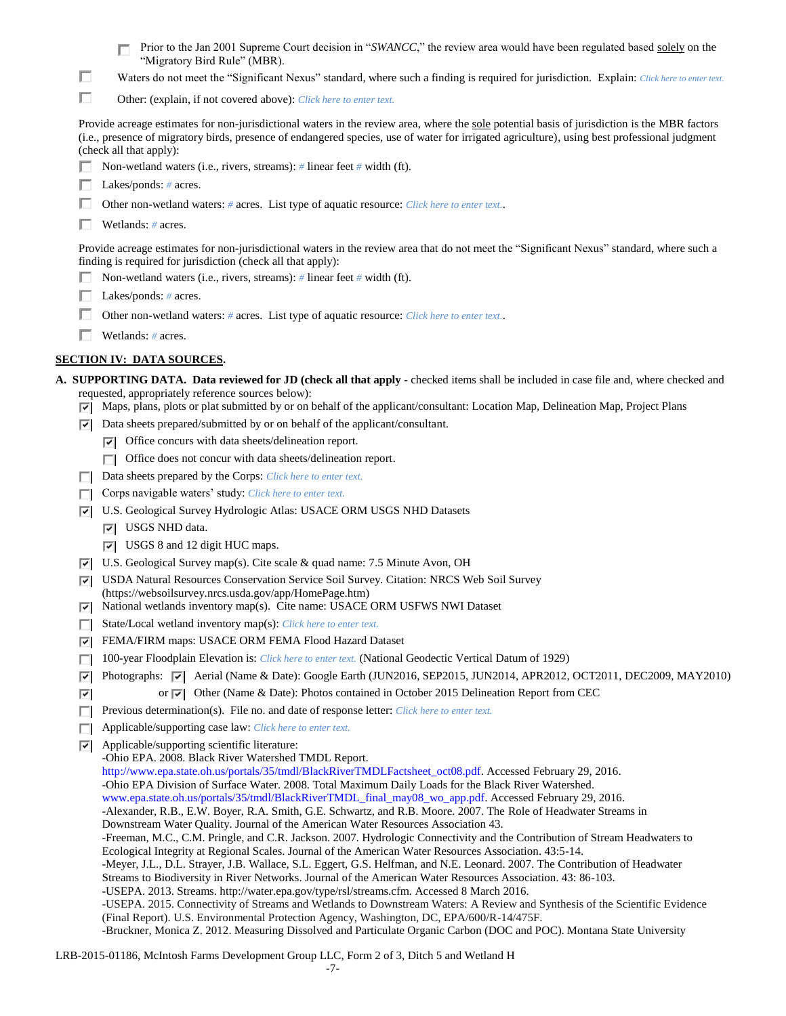|        | Prior to the Jan 2001 Supreme Court decision in "SWANCC," the review area would have been regulated based solely on the<br>"Migratory Bird Rule" (MBR).                                                                                                                                                                   |
|--------|---------------------------------------------------------------------------------------------------------------------------------------------------------------------------------------------------------------------------------------------------------------------------------------------------------------------------|
| ш      | Waters do not meet the "Significant Nexus" standard, where such a finding is required for jurisdiction. Explain: Click here to enter text.                                                                                                                                                                                |
| п      | Other: (explain, if not covered above): Click here to enter text.                                                                                                                                                                                                                                                         |
|        | Provide acreage estimates for non-jurisdictional waters in the review area, where the sole potential basis of jurisdiction is the MBR factors<br>(i.e., presence of migratory birds, presence of endangered species, use of water for irrigated agriculture), using best professional judgment<br>(check all that apply): |
|        | Non-wetland waters (i.e., rivers, streams): $\#$ linear feet $\#$ width (ft).                                                                                                                                                                                                                                             |
|        | Lakes/ponds: $# \, \text{acres.}$                                                                                                                                                                                                                                                                                         |
|        | Other non-wetland waters: # acres. List type of aquatic resource: Click here to enter text                                                                                                                                                                                                                                |
|        | Wetlands: # acres.                                                                                                                                                                                                                                                                                                        |
|        | Provide acreage estimates for non-jurisdictional waters in the review area that do not meet the "Significant Nexus" standard, where such a<br>finding is required for jurisdiction (check all that apply):                                                                                                                |
|        | Non-wetland waters (i.e., rivers, streams): $\#$ linear feet $\#$ width (ft).                                                                                                                                                                                                                                             |
|        | Lakes/ponds: $# \, \text{acres.}$                                                                                                                                                                                                                                                                                         |
|        | Other non-wetland waters: # acres. List type of aquatic resource: Click here to enter text                                                                                                                                                                                                                                |
|        | Wetlands: # acres.                                                                                                                                                                                                                                                                                                        |
|        | <u>SECTION IV: DATA SOURCES.</u>                                                                                                                                                                                                                                                                                          |
|        |                                                                                                                                                                                                                                                                                                                           |
|        | A. SUPPORTING DATA. Data reviewed for JD (check all that apply - checked items shall be included in case file and, where checked and<br>requested, appropriately reference sources below):                                                                                                                                |
| ⊡      | Maps, plans, plots or plat submitted by or on behalf of the applicant/consultant: Location Map, Delineation Map, Project Plans                                                                                                                                                                                            |
| ल      | Data sheets prepared/submitted by or on behalf of the applicant/consultant.                                                                                                                                                                                                                                               |
|        | $ \nabla $ Office concurs with data sheets/delineation report.                                                                                                                                                                                                                                                            |
|        | Office does not concur with data sheets/delineation report.                                                                                                                                                                                                                                                               |
| ш      | Data sheets prepared by the Corps: Click here to enter text.                                                                                                                                                                                                                                                              |
|        | Corps navigable waters' study: Click here to enter text.                                                                                                                                                                                                                                                                  |
| 罓      | U.S. Geological Survey Hydrologic Atlas: USACE ORM USGS NHD Datasets                                                                                                                                                                                                                                                      |
|        | USGS NHD data.<br>罓                                                                                                                                                                                                                                                                                                       |
|        | $ \nabla $ USGS 8 and 12 digit HUC maps.<br>U.S. Geological Survey map(s). Cite scale & quad name: 7.5 Minute Avon, OH                                                                                                                                                                                                    |
| 罓<br>⊡ | USDA Natural Resources Conservation Service Soil Survey. Citation: NRCS Web Soil Survey                                                                                                                                                                                                                                   |
| О      | (https://websoilsurvey.nrcs.usda.gov/app/HomePage.htm)<br>National wetlands inventory map(s). Cite name: USACE ORM USFWS NWI Dataset                                                                                                                                                                                      |
| п      | State/Local wetland inventory map(s): Click here to enter text.                                                                                                                                                                                                                                                           |
| 罓      | FEMA/FIRM maps: USACE ORM FEMA Flood Hazard Dataset                                                                                                                                                                                                                                                                       |
|        | 100-year Floodplain Elevation is: Click here to enter text. (National Geodectic Vertical Datum of 1929)                                                                                                                                                                                                                   |
| ⊡      | Photographs: $\overline{\triangledown}$ Aerial (Name & Date): Google Earth (JUN2016, SEP2015, JUN2014, APR2012, OCT2011, DEC2009, MAY2010)                                                                                                                                                                                |
| ⊽      | or $\overline{\triangledown}$ Other (Name & Date): Photos contained in October 2015 Delineation Report from CEC                                                                                                                                                                                                           |
| п      | Previous determination(s). File no. and date of response letter: Click here to enter text.                                                                                                                                                                                                                                |
| $\Box$ | Applicable/supporting case law: Click here to enter text.                                                                                                                                                                                                                                                                 |
| ⊡      | Applicable/supporting scientific literature:<br>-Ohio EPA. 2008. Black River Watershed TMDL Report.                                                                                                                                                                                                                       |
|        | http://www.epa.state.oh.us/portals/35/tmdl/BlackRiverTMDLFactsheet_oct08.pdf. Accessed February 29, 2016.                                                                                                                                                                                                                 |
|        | -Ohio EPA Division of Surface Water. 2008. Total Maximum Daily Loads for the Black River Watershed.                                                                                                                                                                                                                       |
|        | www.epa.state.oh.us/portals/35/tmdl/BlackRiverTMDL_final_may08_wo_app.pdf. Accessed February 29, 2016.<br>-Alexander, R.B., E.W. Boyer, R.A. Smith, G.E. Schwartz, and R.B. Moore. 2007. The Role of Headwater Streams in                                                                                                 |
|        | Downstream Water Quality. Journal of the American Water Resources Association 43.                                                                                                                                                                                                                                         |
|        | -Freeman, M.C., C.M. Pringle, and C.R. Jackson. 2007. Hydrologic Connectivity and the Contribution of Stream Headwaters to                                                                                                                                                                                                |
|        | Ecological Integrity at Regional Scales. Journal of the American Water Resources Association. 43:5-14.<br>-Meyer, J.L., D.L. Strayer, J.B. Wallace, S.L. Eggert, G.S. Helfman, and N.E. Leonard. 2007. The Contribution of Headwater                                                                                      |
|        | Streams to Biodiversity in River Networks. Journal of the American Water Resources Association. 43: 86-103.                                                                                                                                                                                                               |
|        | -USEPA. 2013. Streams. http://water.epa.gov/type/rsl/streams.cfm. Accessed 8 March 2016.<br>-USEPA. 2015. Connectivity of Streams and Wetlands to Downstream Waters: A Review and Synthesis of the Scientific Evidence                                                                                                    |
|        | (Final Report). U.S. Environmental Protection Agency, Washington, DC, EPA/600/R-14/475F.                                                                                                                                                                                                                                  |
|        | -Bruckner, Monica Z. 2012. Measuring Dissolved and Particulate Organic Carbon (DOC and POC). Montana State University                                                                                                                                                                                                     |

LRB-2015-01186, McIntosh Farms Development Group LLC, Form 2 of 3, Ditch 5 and Wetland H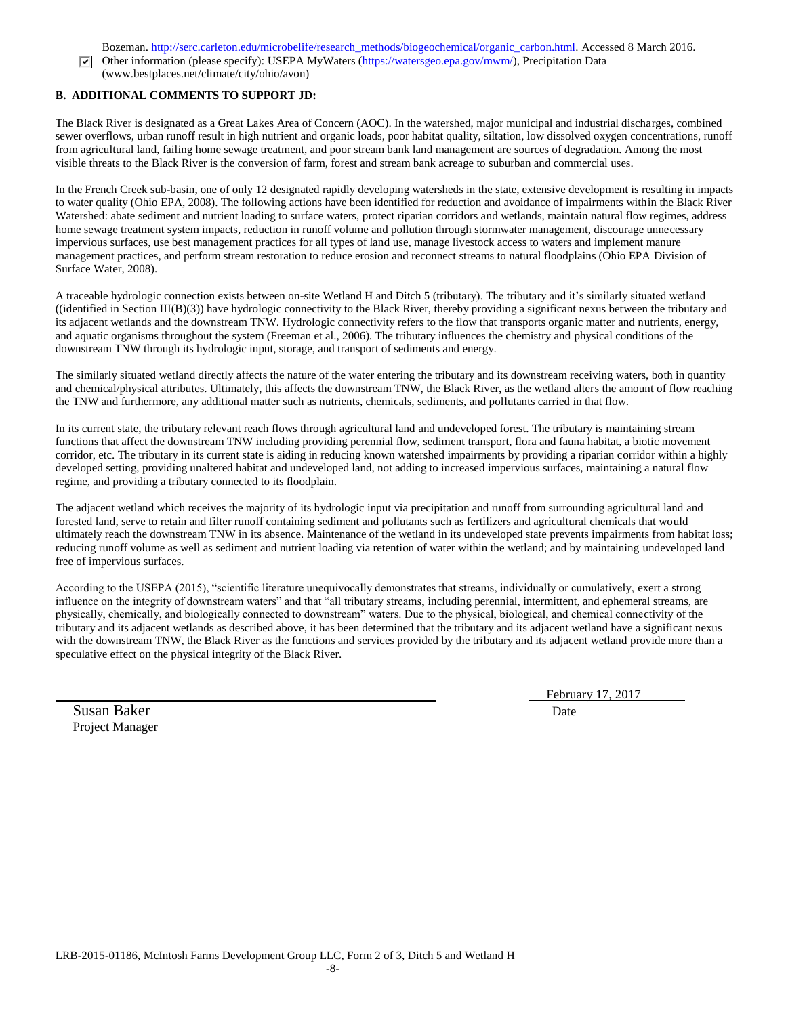Bozeman. http://serc.carleton.edu/microbelife/research\_methods/biogeochemical/organic\_carbon.html. Accessed 8 March 2016.

 $\nabla$  Other information (please specify): USEPA MyWaters [\(https://watersgeo.epa.gov/mwm/\)](https://watersgeo.epa.gov/mwm/), Precipitation Data (www.bestplaces.net/climate/city/ohio/avon)

# **B. ADDITIONAL COMMENTS TO SUPPORT JD:**

The Black River is designated as a Great Lakes Area of Concern (AOC). In the watershed, major municipal and industrial discharges, combined sewer overflows, urban runoff result in high nutrient and organic loads, poor habitat quality, siltation, low dissolved oxygen concentrations, runoff from agricultural land, failing home sewage treatment, and poor stream bank land management are sources of degradation. Among the most visible threats to the Black River is the conversion of farm, forest and stream bank acreage to suburban and commercial uses.

In the French Creek sub-basin, one of only 12 designated rapidly developing watersheds in the state, extensive development is resulting in impacts to water quality (Ohio EPA, 2008). The following actions have been identified for reduction and avoidance of impairments within the Black River Watershed: abate sediment and nutrient loading to surface waters, protect riparian corridors and wetlands, maintain natural flow regimes, address home sewage treatment system impacts, reduction in runoff volume and pollution through stormwater management, discourage unnecessary impervious surfaces, use best management practices for all types of land use, manage livestock access to waters and implement manure management practices, and perform stream restoration to reduce erosion and reconnect streams to natural floodplains (Ohio EPA Division of Surface Water, 2008).

A traceable hydrologic connection exists between on-site Wetland H and Ditch 5 (tributary). The tributary and it's similarly situated wetland ((identified in Section III(B)(3)) have hydrologic connectivity to the Black River, thereby providing a significant nexus between the tributary and its adjacent wetlands and the downstream TNW. Hydrologic connectivity refers to the flow that transports organic matter and nutrients, energy, and aquatic organisms throughout the system (Freeman et al., 2006). The tributary influences the chemistry and physical conditions of the downstream TNW through its hydrologic input, storage, and transport of sediments and energy.

The similarly situated wetland directly affects the nature of the water entering the tributary and its downstream receiving waters, both in quantity and chemical/physical attributes. Ultimately, this affects the downstream TNW, the Black River, as the wetland alters the amount of flow reaching the TNW and furthermore, any additional matter such as nutrients, chemicals, sediments, and pollutants carried in that flow.

In its current state, the tributary relevant reach flows through agricultural land and undeveloped forest. The tributary is maintaining stream functions that affect the downstream TNW including providing perennial flow, sediment transport, flora and fauna habitat, a biotic movement corridor, etc. The tributary in its current state is aiding in reducing known watershed impairments by providing a riparian corridor within a highly developed setting, providing unaltered habitat and undeveloped land, not adding to increased impervious surfaces, maintaining a natural flow regime, and providing a tributary connected to its floodplain.

The adjacent wetland which receives the majority of its hydrologic input via precipitation and runoff from surrounding agricultural land and forested land, serve to retain and filter runoff containing sediment and pollutants such as fertilizers and agricultural chemicals that would ultimately reach the downstream TNW in its absence. Maintenance of the wetland in its undeveloped state prevents impairments from habitat loss; reducing runoff volume as well as sediment and nutrient loading via retention of water within the wetland; and by maintaining undeveloped land free of impervious surfaces.

According to the USEPA (2015), "scientific literature unequivocally demonstrates that streams, individually or cumulatively, exert a strong influence on the integrity of downstream waters" and that "all tributary streams, including perennial, intermittent, and ephemeral streams, are physically, chemically, and biologically connected to downstream" waters. Due to the physical, biological, and chemical connectivity of the tributary and its adjacent wetlands as described above, it has been determined that the tributary and its adjacent wetland have a significant nexus with the downstream TNW, the Black River as the functions and services provided by the tributary and its adjacent wetland provide more than a speculative effect on the physical integrity of the Black River.

Susan Baker Date Project Manager

February 17, 2017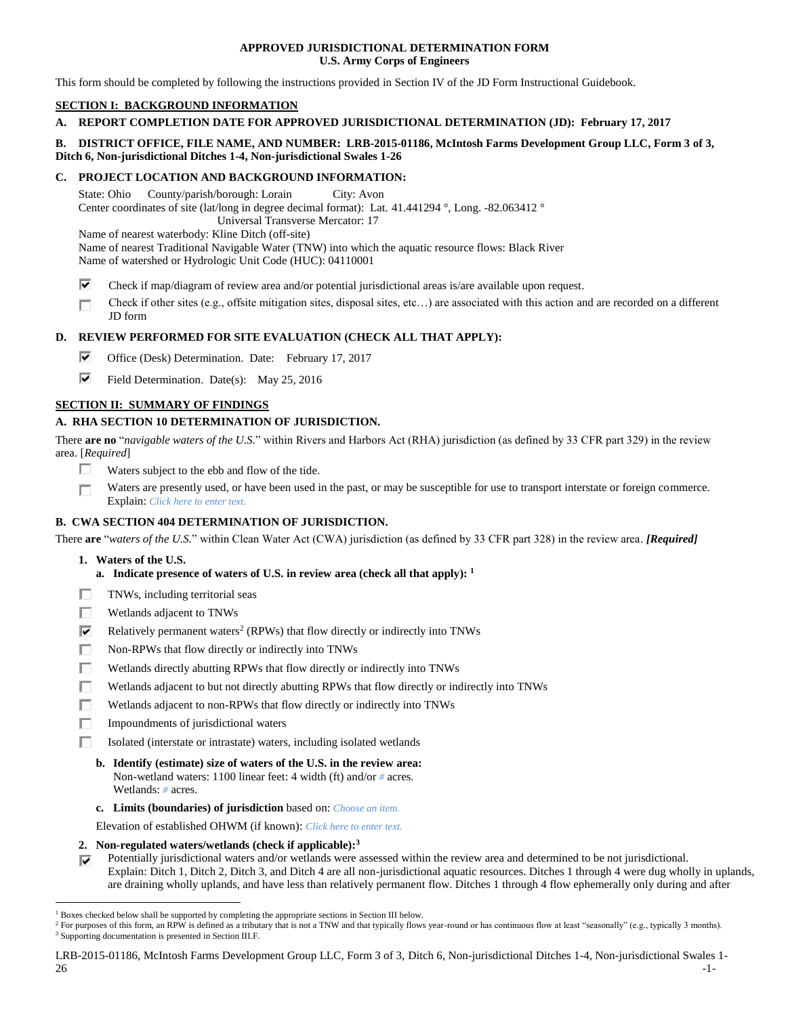### **APPROVED JURISDICTIONAL DETERMINATION FORM U.S. Army Corps of Engineers**

This form should be completed by following the instructions provided in Section IV of the JD Form Instructional Guidebook.

# **SECTION I: BACKGROUND INFORMATION**

# **A. REPORT COMPLETION DATE FOR APPROVED JURISDICTIONAL DETERMINATION (JD): February 17, 2017**

### **B. DISTRICT OFFICE, FILE NAME, AND NUMBER: LRB-2015-01186, McIntosh Farms Development Group LLC, Form 3 of 3, Ditch 6, Non-jurisdictional Ditches 1-4, Non-jurisdictional Swales 1-26**

### **C. PROJECT LOCATION AND BACKGROUND INFORMATION:**

State: Ohio County/parish/borough: Lorain City: Avon Center coordinates of site (lat/long in degree decimal format): Lat. 41.441294 °, Long. -82.063412 ° Universal Transverse Mercator: 17 Name of nearest waterbody: Kline Ditch (off-site) Name of nearest Traditional Navigable Water (TNW) into which the aquatic resource flows: Black River Name of watershed or Hydrologic Unit Code (HUC): 04110001

- ⊽ Check if map/diagram of review area and/or potential jurisdictional areas is/are available upon request.
- Check if other sites (e.g., offsite mitigation sites, disposal sites, etc…) are associated with this action and are recorded on a different П JD form

# **D. REVIEW PERFORMED FOR SITE EVALUATION (CHECK ALL THAT APPLY):**

- ⊽ Office (Desk) Determination. Date: February 17, 2017
- ⊽. Field Determination. Date(s): May 25, 2016

# **SECTION II: SUMMARY OF FINDINGS**

# **A. RHA SECTION 10 DETERMINATION OF JURISDICTION.**

There **are no** "*navigable waters of the U.S.*" within Rivers and Harbors Act (RHA) jurisdiction (as defined by 33 CFR part 329) in the review area. [*Required*]

- Waters subject to the ebb and flow of the tide. п
- Waters are presently used, or have been used in the past, or may be susceptible for use to transport interstate or foreign commerce. П Explain: *Click here to enter text.*

# **B. CWA SECTION 404 DETERMINATION OF JURISDICTION.**

There **are** "*waters of the U.S.*" within Clean Water Act (CWA) jurisdiction (as defined by 33 CFR part 328) in the review area. *[Required]*

**1. Waters of the U.S.**

 $\overline{a}$ 

- **a. Indicate presence of waters of U.S. in review area (check all that apply): 1**
- п TNWs, including territorial seas
- п Wetlands adjacent to TNWs
- ⊽ Relatively permanent waters<sup>2</sup> (RPWs) that flow directly or indirectly into TNWs
- г Non-RPWs that flow directly or indirectly into TNWs
- Wetlands directly abutting RPWs that flow directly or indirectly into TNWs п
- г Wetlands adjacent to but not directly abutting RPWs that flow directly or indirectly into TNWs
- ┍ Wetlands adjacent to non-RPWs that flow directly or indirectly into TNWs
- п Impoundments of jurisdictional waters
- Isolated (interstate or intrastate) waters, including isolated wetlands п
	- **b. Identify (estimate) size of waters of the U.S. in the review area:** Non-wetland waters: 1100 linear feet: 4 width (ft) and/or *#* acres. Wetlands: *#* acres.
	- **c. Limits (boundaries) of jurisdiction** based on: *Choose an item.*

Elevation of established OHWM (if known): *Click here to enter text.*

- **2. Non-regulated waters/wetlands (check if applicable): 3**
- Potentially jurisdictional waters and/or wetlands were assessed within the review area and determined to be not jurisdictional. Explain: Ditch 1, Ditch 2, Ditch 3, and Ditch 4 are all non-jurisdictional aquatic resources. Ditches 1 through 4 were dug wholly in uplands, are draining wholly uplands, and have less than relatively permanent flow. Ditches 1 through 4 flow ephemerally only during and after

LRB-2015-01186, McIntosh Farms Development Group LLC, Form 3 of 3, Ditch 6, Non-jurisdictional Ditches 1-4, Non-jurisdictional Swales 1-  $26$ 

 $<sup>1</sup>$  Boxes checked below shall be supported by completing the appropriate sections in Section III below.</sup>

<sup>&</sup>lt;sup>2</sup> For purposes of this form, an RPW is defined as a tributary that is not a TNW and that typically flows year-round or has continuous flow at least "seasonally" (e.g., typically 3 months). <sup>3</sup> Supporting documentation is presented in Section III.F.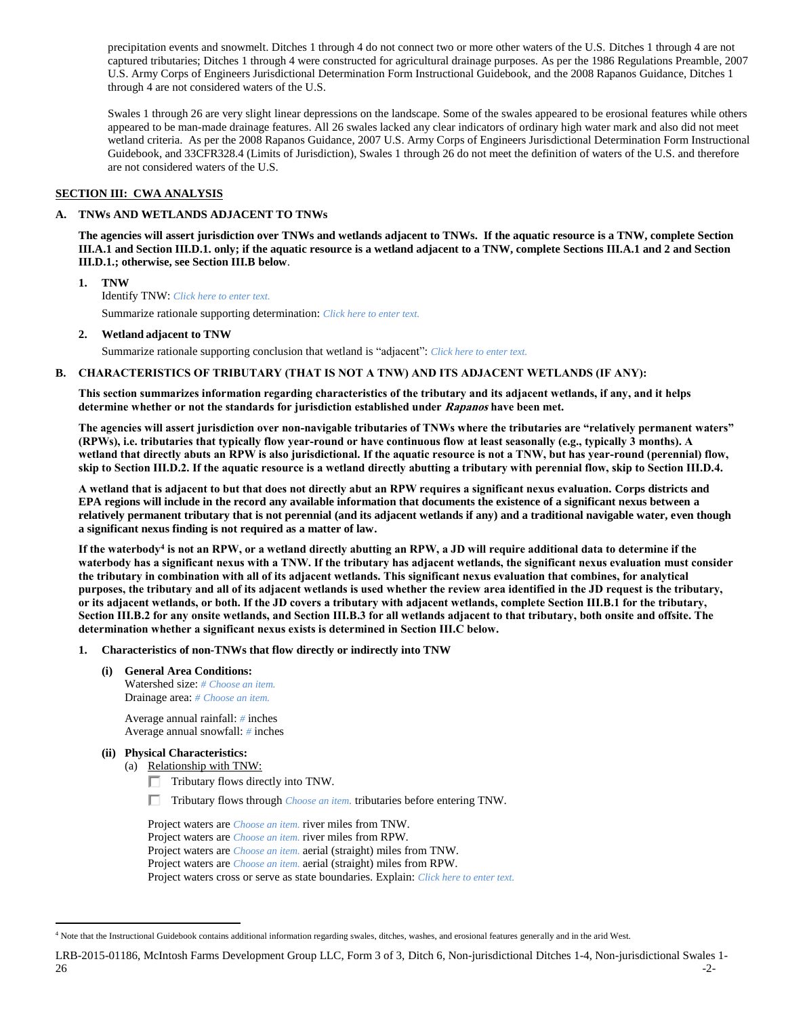precipitation events and snowmelt. Ditches 1 through 4 do not connect two or more other waters of the U.S. Ditches 1 through 4 are not captured tributaries; Ditches 1 through 4 were constructed for agricultural drainage purposes. As per the 1986 Regulations Preamble, 2007 U.S. Army Corps of Engineers Jurisdictional Determination Form Instructional Guidebook, and the 2008 Rapanos Guidance, Ditches 1 through 4 are not considered waters of the U.S.

Swales 1 through 26 are very slight linear depressions on the landscape. Some of the swales appeared to be erosional features while others appeared to be man-made drainage features. All 26 swales lacked any clear indicators of ordinary high water mark and also did not meet wetland criteria. As per the 2008 Rapanos Guidance, 2007 U.S. Army Corps of Engineers Jurisdictional Determination Form Instructional Guidebook, and 33CFR328.4 (Limits of Jurisdiction), Swales 1 through 26 do not meet the definition of waters of the U.S. and therefore are not considered waters of the U.S.

### **SECTION III: CWA ANALYSIS**

### **A. TNWs AND WETLANDS ADJACENT TO TNWs**

**The agencies will assert jurisdiction over TNWs and wetlands adjacent to TNWs. If the aquatic resource is a TNW, complete Section III.A.1 and Section III.D.1. only; if the aquatic resource is a wetland adjacent to a TNW, complete Sections III.A.1 and 2 and Section III.D.1.; otherwise, see Section III.B below**.

**1. TNW** 

Identify TNW: *Click here to enter text.*

Summarize rationale supporting determination: *Click here to enter text.*

#### **2. Wetland adjacent to TNW**

Summarize rationale supporting conclusion that wetland is "adjacent": *Click here to enter text.*

### **B. CHARACTERISTICS OF TRIBUTARY (THAT IS NOT A TNW) AND ITS ADJACENT WETLANDS (IF ANY):**

**This section summarizes information regarding characteristics of the tributary and its adjacent wetlands, if any, and it helps determine whether or not the standards for jurisdiction established under Rapanos have been met.** 

**The agencies will assert jurisdiction over non-navigable tributaries of TNWs where the tributaries are "relatively permanent waters" (RPWs), i.e. tributaries that typically flow year-round or have continuous flow at least seasonally (e.g., typically 3 months). A wetland that directly abuts an RPW is also jurisdictional. If the aquatic resource is not a TNW, but has year-round (perennial) flow, skip to Section III.D.2. If the aquatic resource is a wetland directly abutting a tributary with perennial flow, skip to Section III.D.4.**

**A wetland that is adjacent to but that does not directly abut an RPW requires a significant nexus evaluation. Corps districts and EPA regions will include in the record any available information that documents the existence of a significant nexus between a relatively permanent tributary that is not perennial (and its adjacent wetlands if any) and a traditional navigable water, even though a significant nexus finding is not required as a matter of law.**

**If the waterbody<sup>4</sup> is not an RPW, or a wetland directly abutting an RPW, a JD will require additional data to determine if the waterbody has a significant nexus with a TNW. If the tributary has adjacent wetlands, the significant nexus evaluation must consider the tributary in combination with all of its adjacent wetlands. This significant nexus evaluation that combines, for analytical purposes, the tributary and all of its adjacent wetlands is used whether the review area identified in the JD request is the tributary, or its adjacent wetlands, or both. If the JD covers a tributary with adjacent wetlands, complete Section III.B.1 for the tributary, Section III.B.2 for any onsite wetlands, and Section III.B.3 for all wetlands adjacent to that tributary, both onsite and offsite. The determination whether a significant nexus exists is determined in Section III.C below.**

#### **1. Characteristics of non-TNWs that flow directly or indirectly into TNW**

**(i) General Area Conditions:**

Watershed size: *# Choose an item.* Drainage area: *# Choose an item.*

Average annual rainfall: *#* inches Average annual snowfall: *#* inches

# **(ii) Physical Characteristics:**

- (a) Relationship with TNW:
	- Tributary flows directly into TNW.

п. Tributary flows through *Choose an item.* tributaries before entering TNW.

Project waters are *Choose an item.* river miles from TNW. Project waters are *Choose an item.* river miles from RPW. Project waters are *Choose an item.* aerial (straight) miles from TNW. Project waters are *Choose an item.* aerial (straight) miles from RPW. Project waters cross or serve as state boundaries. Explain: *Click here to enter text.*

 $\overline{a}$ <sup>4</sup> Note that the Instructional Guidebook contains additional information regarding swales, ditches, washes, and erosional features generally and in the arid West.

LRB-2015-01186, McIntosh Farms Development Group LLC, Form 3 of 3, Ditch 6, Non-jurisdictional Ditches 1-4, Non-jurisdictional Swales 1-  $26$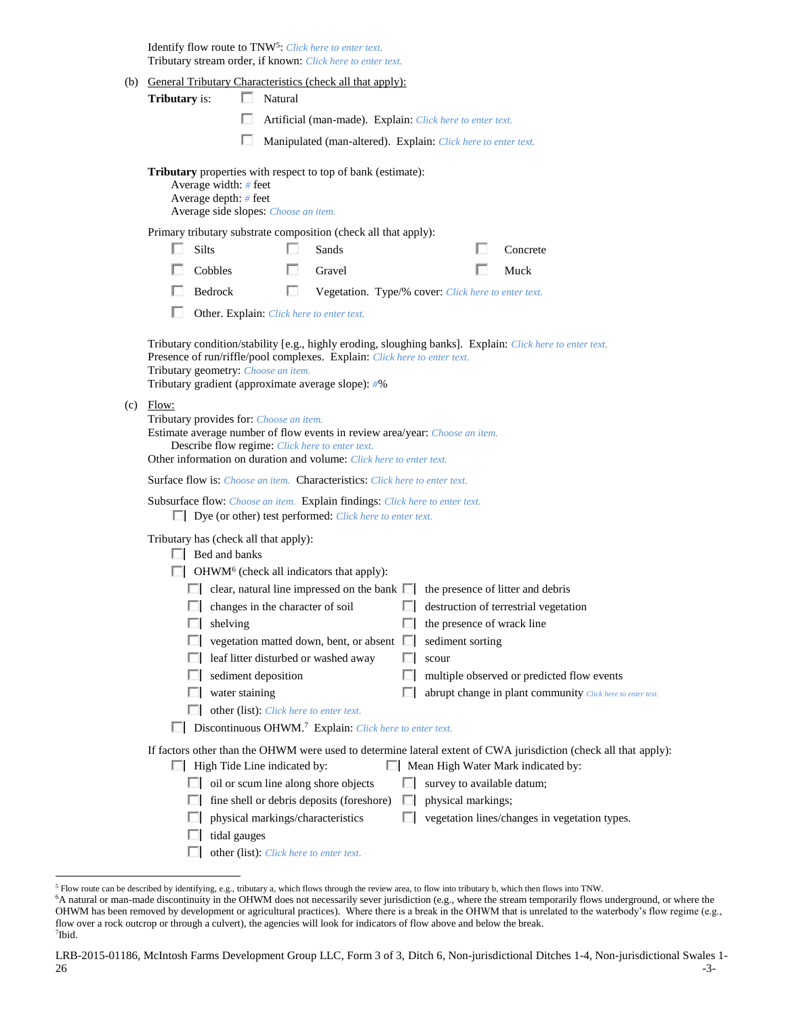Identify flow route to TNW<sup>5</sup>: Click here to enter text. Tributary stream order, if known: *Click here to enter text.*

- (b) General Tributary Characteristics (check all that apply):
	- **Tributary** is:  $\Box$  Natural
		- П Artificial (man-made). Explain: *Click here to enter text.*

П Manipulated (man-altered). Explain: *Click here to enter text.*

**Tributary** properties with respect to top of bank (estimate):

| Average width: $#$ feet              |
|--------------------------------------|
| Average depth: $#$ feet              |
| Average side slopes: Choose an item. |

Primary tributary substrate composition (check all that apply):

| $\Box$ Silts   | $\Box$ Sands                                               | Concrete    |
|----------------|------------------------------------------------------------|-------------|
| $\Box$ Cobbles | $\Box$ Gravel                                              | $\Box$ Muck |
| $\Box$ Bedrock | <b>Negetation.</b> Type/% cover: Click here to enter text. |             |

Other. Explain: *Click here to enter text.*

Tributary condition/stability [e.g., highly eroding, sloughing banks]. Explain: *Click here to enter text.* Presence of run/riffle/pool complexes. Explain: *Click here to enter text.* Tributary geometry: *Choose an item.* Tributary gradient (approximate average slope): *#*%

 $(c)$ 

| Flow:                                                                                                                  |                                                                                                                  |
|------------------------------------------------------------------------------------------------------------------------|------------------------------------------------------------------------------------------------------------------|
| Tributary provides for: <i>Choose an item.</i>                                                                         |                                                                                                                  |
| Estimate average number of flow events in review area/year: Choose an item.                                            |                                                                                                                  |
| Describe flow regime: Click here to enter text.<br>Other information on duration and volume: Click here to enter text. |                                                                                                                  |
|                                                                                                                        |                                                                                                                  |
| <b>Surface flow is:</b> <i>Choose an item.</i> <b>Characteristics:</b> <i>Click here to enter text.</i>                |                                                                                                                  |
| <b>Subsurface flow:</b> Choose an item. Explain findings: Click here to enter text.                                    |                                                                                                                  |
| Dye (or other) test performed: Click here to enter text.                                                               |                                                                                                                  |
| Tributary has (check all that apply):                                                                                  |                                                                                                                  |
| Bed and banks                                                                                                          |                                                                                                                  |
| OHWM <sup>6</sup> (check all indicators that apply):                                                                   |                                                                                                                  |
| clear, natural line impressed on the bank $\Box$                                                                       | the presence of litter and debris                                                                                |
| changes in the character of soil                                                                                       | destruction of terrestrial vegetation                                                                            |
| shelving                                                                                                               | the presence of wrack line                                                                                       |
| vegetation matted down, bent, or absent                                                                                | sediment sorting                                                                                                 |
| leaf litter disturbed or washed away                                                                                   | scour                                                                                                            |
| sediment deposition                                                                                                    | multiple observed or predicted flow events                                                                       |
| water staining                                                                                                         | abrupt change in plant community Click here to enter text.                                                       |
| other (list): Click here to enter text.                                                                                |                                                                                                                  |
| Discontinuous OHWM. <sup>7</sup> Explain: Click here to enter text.                                                    |                                                                                                                  |
|                                                                                                                        | If factors other than the OHWM were used to determine lateral extent of CWA jurisdiction (check all that apply): |
| High Tide Line indicated by:                                                                                           | Mean High Water Mark indicated by:                                                                               |
| oil or scum line along shore objects                                                                                   | survey to available datum;                                                                                       |

- $\Box$  fine shell or debris deposits (foreshore)  $\Box$  physical markings;
	- $\Box$  physical markings/characteristics  $\Box$  vegetation lines/changes in vegetation types.
	- $\Box$  tidal gauges

 $\overline{a}$ 

other (list): *Click here to enter text.*

<sup>5</sup> Flow route can be described by identifying, e.g., tributary a, which flows through the review area, to flow into tributary b, which then flows into TNW.

<sup>6</sup>A natural or man-made discontinuity in the OHWM does not necessarily sever jurisdiction (e.g., where the stream temporarily flows underground, or where the OHWM has been removed by development or agricultural practices). Where there is a break in the OHWM that is unrelated to the waterbody's flow regime (e.g., flow over a rock outcrop or through a culvert), the agencies will look for indicators of flow above and below the break. 7 Ibid.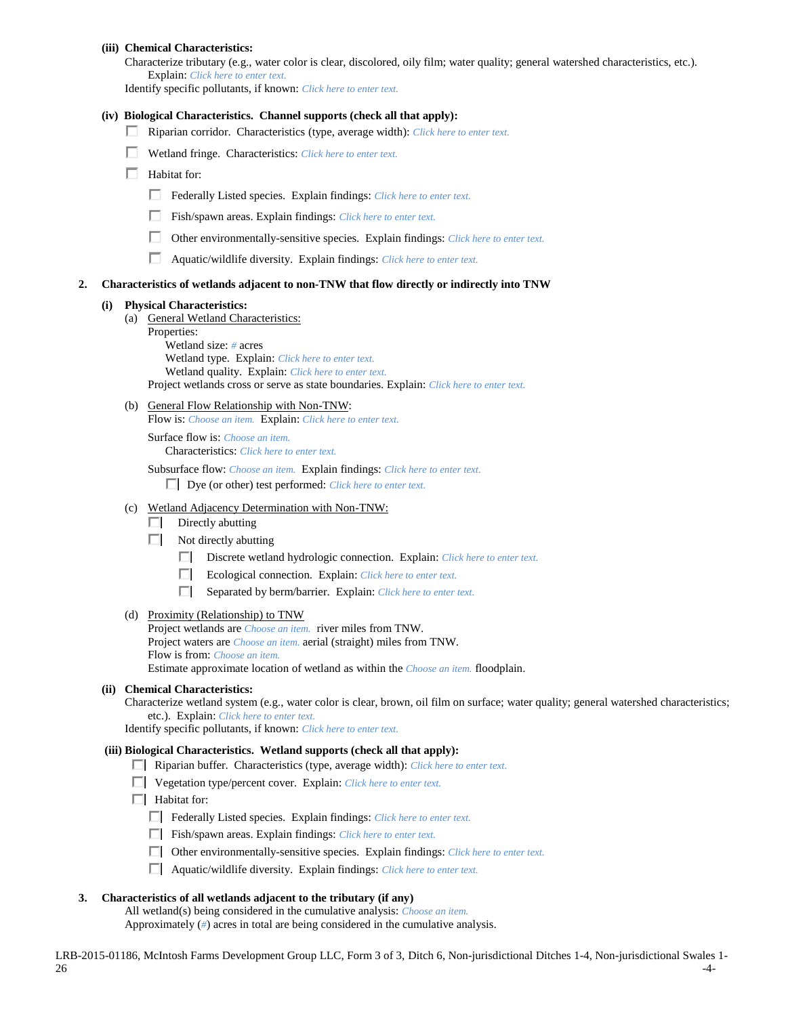Characterize tributary (e.g., water color is clear, discolored, oily film; water quality; general watershed characteristics, etc.). Explain: *Click here to enter text.*

Identify specific pollutants, if known: *Click here to enter text.*

#### **(iv) Biological Characteristics. Channel supports (check all that apply):**

- Riparian corridor. Characteristics (type, average width): *Click here to enter text.*
- Wetland fringe. Characteristics: *Click here to enter text.*
- $\Box$  Habitat for:
	- Federally Listed species. Explain findings: *Click here to enter text*.
	- Fish/spawn areas. Explain findings: *Click here to enter text.*
	- Other environmentally-sensitive species. Explain findings: *Click here to enter text.*
	- Aquatic/wildlife diversity. Explain findings: *Click here to enter text.*

#### **2. Characteristics of wetlands adjacent to non-TNW that flow directly or indirectly into TNW**

#### **(i) Physical Characteristics:**

(a) General Wetland Characteristics:

Properties: Wetland size: *#* acres Wetland type. Explain: *Click here to enter text.* Wetland quality. Explain: *Click here to enter text.* Project wetlands cross or serve as state boundaries. Explain: *Click here to enter text.*

(b) General Flow Relationship with Non-TNW:

Flow is: *Choose an item.* Explain: *Click here to enter text.*

Surface flow is: *Choose an item.* Characteristics: *Click here to enter text.*

Subsurface flow: *Choose an item.* Explain findings: *Click here to enter text.* Dye (or other) test performed: *Click here to enter text.*

- (c) Wetland Adjacency Determination with Non-TNW:
	- $\Box$  Directly abutting
	- $\Box$  Not directly abutting
		- Discrete wetland hydrologic connection. Explain: *Click here to enter text.*
		- Ecological connection. Explain: *Click here to enter text.*
		- Separated by berm/barrier. Explain: *Click here to enter text.*

#### (d) Proximity (Relationship) to TNW

Project wetlands are *Choose an item.* river miles from TNW. Project waters are *Choose an item.* aerial (straight) miles from TNW. Flow is from: *Choose an item.* Estimate approximate location of wetland as within the *Choose an item.* floodplain.

#### **(ii) Chemical Characteristics:**

Characterize wetland system (e.g., water color is clear, brown, oil film on surface; water quality; general watershed characteristics; etc.). Explain: *Click here to enter text.*

Identify specific pollutants, if known: *Click here to enter text.*

#### **(iii) Biological Characteristics. Wetland supports (check all that apply):**

- Riparian buffer. Characteristics (type, average width): *Click here to enter text.*
- Vegetation type/percent cover. Explain: *Click here to enter text.*
- $\Box$  Habitat for:
	- Federally Listed species. Explain findings: *Click here to enter text.*
	- Fish/spawn areas. Explain findings: *Click here to enter text.*
	- Other environmentally-sensitive species. Explain findings: *Click here to enter text.*
	- Aquatic/wildlife diversity. Explain findings: *Click here to enter text.*

### **3. Characteristics of all wetlands adjacent to the tributary (if any)**

All wetland(s) being considered in the cumulative analysis: *Choose an item.*

Approximately (*#*) acres in total are being considered in the cumulative analysis.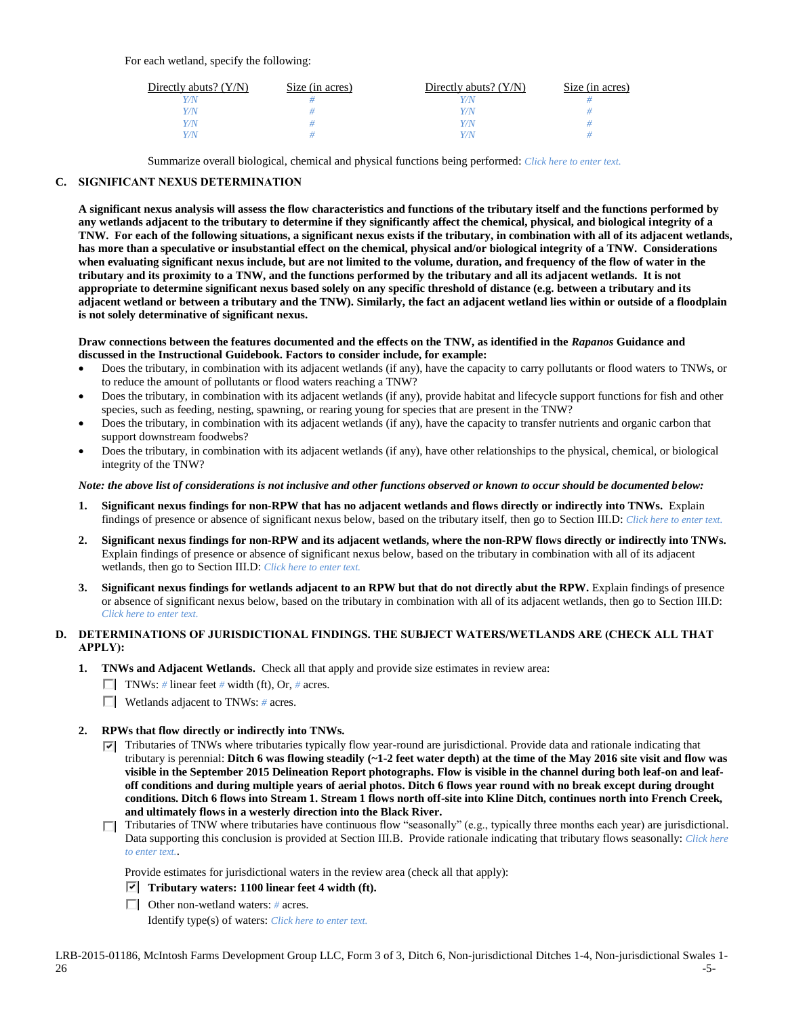For each wetland, specify the following:

| Directly abuts? $(Y/N)$ | Size (in acres) | Directly abuts? $(Y/N)$ | Size (in acres) |
|-------------------------|-----------------|-------------------------|-----------------|
|                         |                 | Y/N                     |                 |
| Y/N                     |                 | Y/N                     |                 |
| Y/N                     |                 | Y/N                     |                 |
|                         |                 | V/N                     |                 |

Summarize overall biological, chemical and physical functions being performed: *Click here to enter text.*

### **C. SIGNIFICANT NEXUS DETERMINATION**

**A significant nexus analysis will assess the flow characteristics and functions of the tributary itself and the functions performed by any wetlands adjacent to the tributary to determine if they significantly affect the chemical, physical, and biological integrity of a TNW. For each of the following situations, a significant nexus exists if the tributary, in combination with all of its adjacent wetlands, has more than a speculative or insubstantial effect on the chemical, physical and/or biological integrity of a TNW. Considerations when evaluating significant nexus include, but are not limited to the volume, duration, and frequency of the flow of water in the tributary and its proximity to a TNW, and the functions performed by the tributary and all its adjacent wetlands. It is not appropriate to determine significant nexus based solely on any specific threshold of distance (e.g. between a tributary and its adjacent wetland or between a tributary and the TNW). Similarly, the fact an adjacent wetland lies within or outside of a floodplain is not solely determinative of significant nexus.** 

#### **Draw connections between the features documented and the effects on the TNW, as identified in the** *Rapanos* **Guidance and discussed in the Instructional Guidebook. Factors to consider include, for example:**

- Does the tributary, in combination with its adjacent wetlands (if any), have the capacity to carry pollutants or flood waters to TNWs, or to reduce the amount of pollutants or flood waters reaching a TNW?
- Does the tributary, in combination with its adjacent wetlands (if any), provide habitat and lifecycle support functions for fish and other species, such as feeding, nesting, spawning, or rearing young for species that are present in the TNW?
- Does the tributary, in combination with its adjacent wetlands (if any), have the capacity to transfer nutrients and organic carbon that support downstream foodwebs?
- Does the tributary, in combination with its adjacent wetlands (if any), have other relationships to the physical, chemical, or biological integrity of the TNW?

### *Note: the above list of considerations is not inclusive and other functions observed or known to occur should be documented below:*

- **1. Significant nexus findings for non-RPW that has no adjacent wetlands and flows directly or indirectly into TNWs.** Explain findings of presence or absence of significant nexus below, based on the tributary itself, then go to Section III.D: *Click here to enter text.*
- **2. Significant nexus findings for non-RPW and its adjacent wetlands, where the non-RPW flows directly or indirectly into TNWs.**  Explain findings of presence or absence of significant nexus below, based on the tributary in combination with all of its adjacent wetlands, then go to Section III.D: *Click here to enter text.*
- **3. Significant nexus findings for wetlands adjacent to an RPW but that do not directly abut the RPW.** Explain findings of presence or absence of significant nexus below, based on the tributary in combination with all of its adjacent wetlands, then go to Section III.D: *Click here to enter text.*

# **D. DETERMINATIONS OF JURISDICTIONAL FINDINGS. THE SUBJECT WATERS/WETLANDS ARE (CHECK ALL THAT APPLY):**

- **1. TNWs and Adjacent Wetlands.** Check all that apply and provide size estimates in review area:
	- TNWs: *#* linear feet *#* width (ft), Or, *#* acres.
	- Wetlands adjacent to TNWs: *#* acres.

# **2. RPWs that flow directly or indirectly into TNWs.**

- Tributaries of TNWs where tributaries typically flow year-round are jurisdictional. Provide data and rationale indicating that tributary is perennial: **Ditch 6 was flowing steadily (~1-2 feet water depth) at the time of the May 2016 site visit and flow was visible in the September 2015 Delineation Report photographs. Flow is visible in the channel during both leaf-on and leafoff conditions and during multiple years of aerial photos. Ditch 6 flows year round with no break except during drought conditions. Ditch 6 flows into Stream 1. Stream 1 flows north off-site into Kline Ditch, continues north into French Creek, and ultimately flows in a westerly direction into the Black River.**
- Tributaries of TNW where tributaries have continuous flow "seasonally" (e.g., typically three months each year) are jurisdictional. Data supporting this conclusion is provided at Section III.B. Provide rationale indicating that tributary flows seasonally: *Click here to enter text.*.

Provide estimates for jurisdictional waters in the review area (check all that apply):

- **Tributary waters: 1100 linear feet 4 width (ft).**
- Other non-wetland waters: *#* acres.

Identify type(s) of waters: *Click here to enter text.*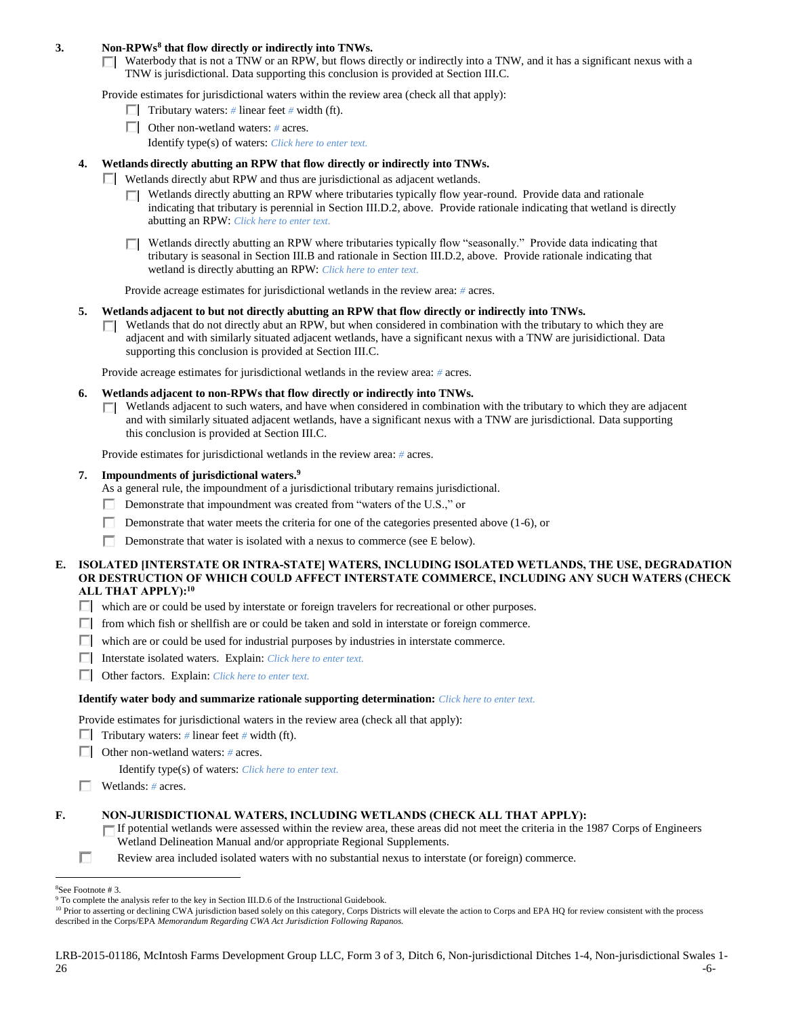### **3. Non-RPWs<sup>8</sup> that flow directly or indirectly into TNWs.**

 $\Box$  Waterbody that is not a TNW or an RPW, but flows directly or indirectly into a TNW, and it has a significant nexus with a TNW is jurisdictional. Data supporting this conclusion is provided at Section III.C.

Provide estimates for jurisdictional waters within the review area (check all that apply):

- **Tributary waters:** # linear feet # width (ft).
- Other non-wetland waters: *#* acres.
	- Identify type(s) of waters: *Click here to enter text.*
- **4. Wetlands directly abutting an RPW that flow directly or indirectly into TNWs.**
	- $\Box$  Wetlands directly abut RPW and thus are jurisdictional as adjacent wetlands.
		- $\Box$  Wetlands directly abutting an RPW where tributaries typically flow year-round. Provide data and rationale indicating that tributary is perennial in Section III.D.2, above. Provide rationale indicating that wetland is directly abutting an RPW: *Click here to enter text.*
		- Wetlands directly abutting an RPW where tributaries typically flow "seasonally." Provide data indicating that tributary is seasonal in Section III.B and rationale in Section III.D.2, above. Provide rationale indicating that wetland is directly abutting an RPW: *Click here to enter text.*

Provide acreage estimates for jurisdictional wetlands in the review area: *#* acres.

- **5. Wetlands adjacent to but not directly abutting an RPW that flow directly or indirectly into TNWs.**
	- $\Box$  Wetlands that do not directly abut an RPW, but when considered in combination with the tributary to which they are adjacent and with similarly situated adjacent wetlands, have a significant nexus with a TNW are jurisidictional. Data supporting this conclusion is provided at Section III.C.

Provide acreage estimates for jurisdictional wetlands in the review area: *#* acres.

- **6. Wetlands adjacent to non-RPWs that flow directly or indirectly into TNWs.** 
	- Wetlands adjacent to such waters, and have when considered in combination with the tributary to which they are adjacent П and with similarly situated adjacent wetlands, have a significant nexus with a TNW are jurisdictional. Data supporting this conclusion is provided at Section III.C.

Provide estimates for jurisdictional wetlands in the review area: *#* acres.

**7. Impoundments of jurisdictional waters. 9**

As a general rule, the impoundment of a jurisdictional tributary remains jurisdictional.

- Demonstrate that impoundment was created from "waters of the U.S.," or
- Demonstrate that water meets the criteria for one of the categories presented above (1-6), or
- Demonstrate that water is isolated with a nexus to commerce (see E below).
- **E. ISOLATED [INTERSTATE OR INTRA-STATE] WATERS, INCLUDING ISOLATED WETLANDS, THE USE, DEGRADATION OR DESTRUCTION OF WHICH COULD AFFECT INTERSTATE COMMERCE, INCLUDING ANY SUCH WATERS (CHECK ALL THAT APPLY):<sup>10</sup>**
	- $\Box$  which are or could be used by interstate or foreign travelers for recreational or other purposes.
	- $\Box$  from which fish or shellfish are or could be taken and sold in interstate or foreign commerce.
	- $\Box$  which are or could be used for industrial purposes by industries in interstate commerce.
	- Interstate isolated waters.Explain: *Click here to enter text.*
	- Other factors.Explain: *Click here to enter text.*

#### **Identify water body and summarize rationale supporting determination:** *Click here to enter text.*

Provide estimates for jurisdictional waters in the review area (check all that apply):

- Tributary waters:  $\#$  linear feet  $\#$  width (ft).
- Other non-wetland waters: *#* acres.

Identify type(s) of waters: *Click here to enter text.*

Wetlands: *#* acres.

#### **F. NON-JURISDICTIONAL WATERS, INCLUDING WETLANDS (CHECK ALL THAT APPLY):**

- If potential wetlands were assessed within the review area, these areas did not meet the criteria in the 1987 Corps of Engineers Wetland Delineation Manual and/or appropriate Regional Supplements.
- П Review area included isolated waters with no substantial nexus to interstate (or foreign) commerce.

 $\overline{a}$ 

<sup>8</sup>See Footnote # 3.

<sup>&</sup>lt;sup>9</sup> To complete the analysis refer to the key in Section III.D.6 of the Instructional Guidebook.

<sup>&</sup>lt;sup>10</sup> Prior to asserting or declining CWA jurisdiction based solely on this category, Corps Districts will elevate the action to Corps and EPA HQ for review consistent with the process described in the Corps/EPA *Memorandum Regarding CWA Act Jurisdiction Following Rapanos.*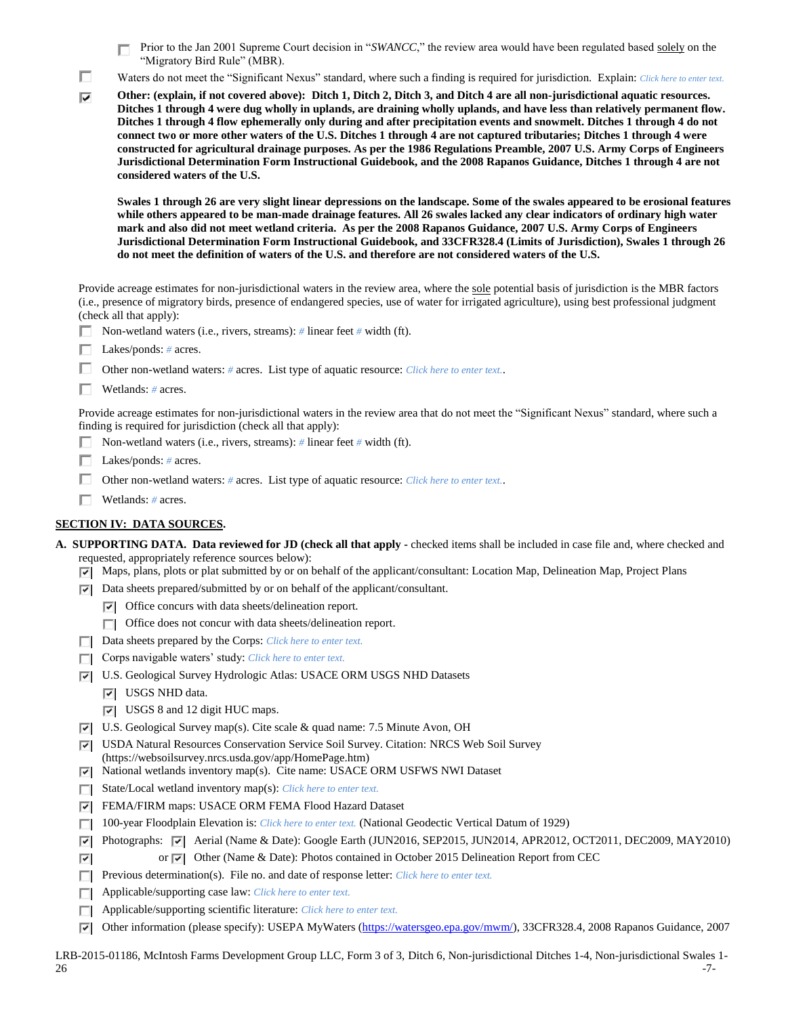П. Prior to the Jan 2001 Supreme Court decision in "*SWANCC*," the review area would have been regulated based solely on the "Migratory Bird Rule" (MBR).

П Waters do not meet the "Significant Nexus" standard, where such a finding is required for jurisdiction. Explain: *Click here to enter text.* 

**Other: (explain, if not covered above): Ditch 1, Ditch 2, Ditch 3, and Ditch 4 are all non-jurisdictional aquatic resources.**  ⊽ **Ditches 1 through 4 were dug wholly in uplands, are draining wholly uplands, and have less than relatively permanent flow. Ditches 1 through 4 flow ephemerally only during and after precipitation events and snowmelt. Ditches 1 through 4 do not connect two or more other waters of the U.S. Ditches 1 through 4 are not captured tributaries; Ditches 1 through 4 were constructed for agricultural drainage purposes. As per the 1986 Regulations Preamble, 2007 U.S. Army Corps of Engineers Jurisdictional Determination Form Instructional Guidebook, and the 2008 Rapanos Guidance, Ditches 1 through 4 are not considered waters of the U.S.** 

**Swales 1 through 26 are very slight linear depressions on the landscape. Some of the swales appeared to be erosional features while others appeared to be man-made drainage features. All 26 swales lacked any clear indicators of ordinary high water mark and also did not meet wetland criteria. As per the 2008 Rapanos Guidance, 2007 U.S. Army Corps of Engineers Jurisdictional Determination Form Instructional Guidebook, and 33CFR328.4 (Limits of Jurisdiction), Swales 1 through 26 do not meet the definition of waters of the U.S. and therefore are not considered waters of the U.S.** 

Provide acreage estimates for non-jurisdictional waters in the review area, where the sole potential basis of jurisdiction is the MBR factors (i.e., presence of migratory birds, presence of endangered species, use of water for irrigated agriculture), using best professional judgment (check all that apply):

- Non-wetland waters (i.e., rivers, streams): *#* linear feet *#* width (ft).
- Lakes/ponds: *#* acres.
- Other non-wetland waters: *#* acres. List type of aquatic resource: *Click here to enter text.*.
- Wetlands: *#* acres.

Provide acreage estimates for non-jurisdictional waters in the review area that do not meet the "Significant Nexus" standard, where such a finding is required for jurisdiction (check all that apply):

- Non-wetland waters (i.e., rivers, streams): *#* linear feet *#* width (ft).
- Lakes/ponds: *#* acres.
- Other non-wetland waters: *#* acres. List type of aquatic resource: *Click here to enter text.*.
- Wetlands: *#* acres.

#### **SECTION IV: DATA SOURCES.**

|  | <b>A. SUPPORTING DATA. Data reviewed for JD (check all that apply -</b> checked items shall be included in case file and, where checked and |  |  |  |
|--|---------------------------------------------------------------------------------------------------------------------------------------------|--|--|--|
|  | requested, appropriately reference sources below):                                                                                          |  |  |  |

- $\nabla$  Maps, plans, plots or plat submitted by or on behalf of the applicant/consultant: Location Map, Delineation Map, Project Plans
- $\triangledown$  Data sheets prepared/submitted by or on behalf of the applicant/consultant.
	- $|\nabla|$  Office concurs with data sheets/delineation report.
	- $\Box$  Office does not concur with data sheets/delineation report.
- Data sheets prepared by the Corps: *Click here to enter text.*
- Corps navigable waters' study: *Click here to enter text.*
- U.S. Geological Survey Hydrologic Atlas: USACE ORM USGS NHD Datasets
	- **V** USGS NHD data.

⊽

- USGS 8 and 12 digit HUC maps.
- U.S. Geological Survey map(s). Cite scale & quad name: 7.5 Minute Avon, OH
- USDA Natural Resources Conservation Service Soil Survey. Citation: NRCS Web Soil Survey (https://websoilsurvey.nrcs.usda.gov/app/HomePage.htm)
- National wetlands inventory map(s). Cite name: USACE ORM USFWS NWI Dataset
- State/Local wetland inventory map(s): *Click here to enter text.*
- FEMA/FIRM maps: USACE ORM FEMA Flood Hazard Dataset
- 100-year Floodplain Elevation is: *Click here to enter text.* (National Geodectic Vertical Datum of 1929)
- Photographs: Aerial (Name & Date): Google Earth (JUN2016, SEP2015, JUN2014, APR2012, OCT2011, DEC2009, MAY2010)
	- or  $\triangledown$  Other (Name & Date): Photos contained in October 2015 Delineation Report from CEC
- Previous determination(s). File no. and date of response letter: *Click here to enter text.*
- Applicable/supporting case law: *Click here to enter text.*
- Applicable/supporting scientific literature: *Click here to enter text.*
- Other information (please specify): USEPA MyWaters [\(https://watersgeo.epa.gov/mwm/\)](https://watersgeo.epa.gov/mwm/), 33CFR328.4, 2008 Rapanos Guidance, 2007

LRB-2015-01186, McIntosh Farms Development Group LLC, Form 3 of 3, Ditch 6, Non-jurisdictional Ditches 1-4, Non-jurisdictional Swales 1-  $26$